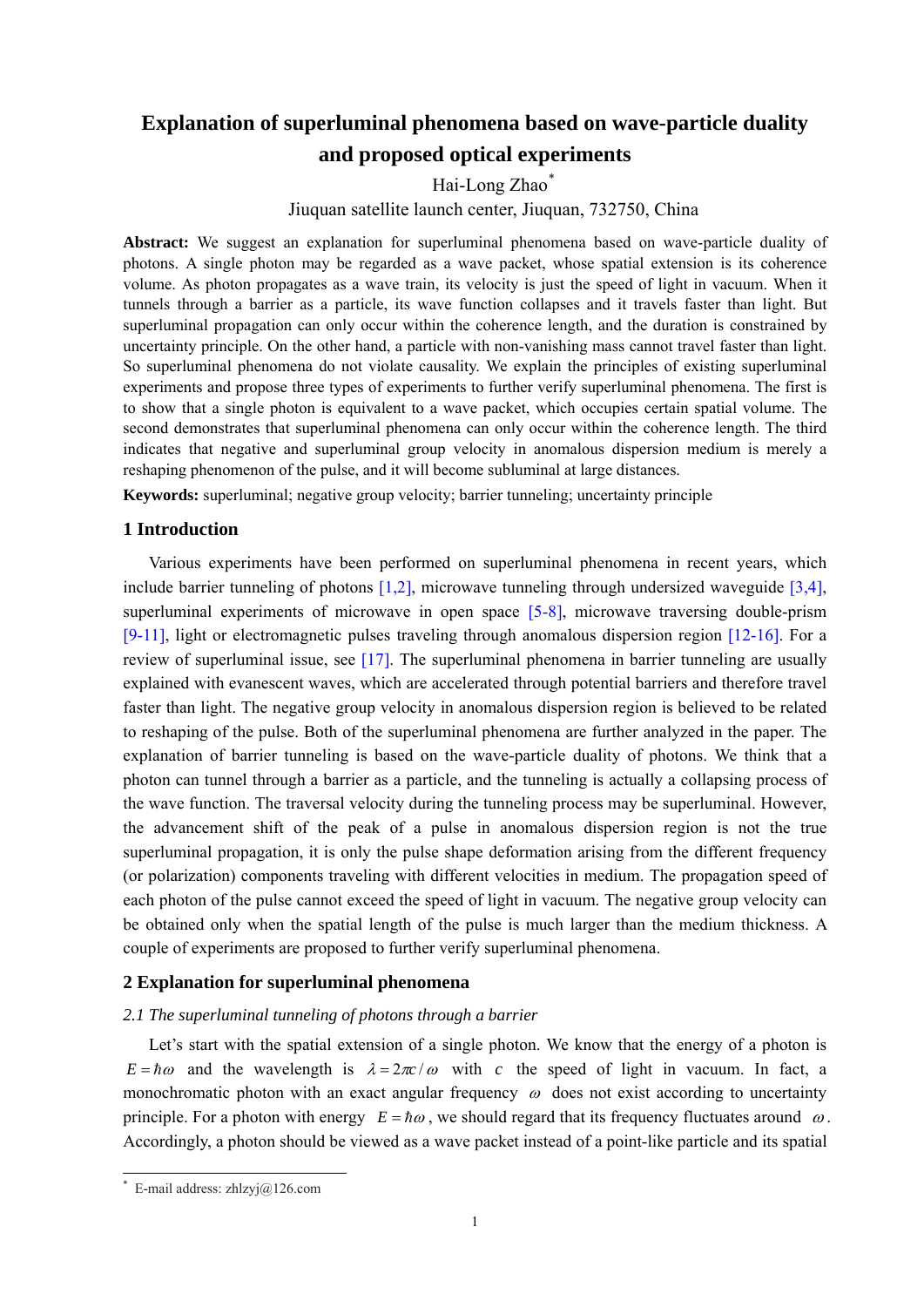# **Explanation of superluminal phenomena based on wave-particle duality and proposed optical experiments**

Hai-Long Zhao[\\*](#page-0-0)

Jiuquan satellite launch center, Jiuquan, 732750, China

**Abstract:** We suggest an explanation for superluminal phenomena based on wave-particle duality of photons. A single photon may be regarded as a wave packet, whose spatial extension is its coherence volume. As photon propagates as a wave train, its velocity is just the speed of light in vacuum. When it tunnels through a barrier as a particle, its wave function collapses and it travels faster than light. But superluminal propagation can only occur within the coherence length, and the duration is constrained by uncertainty principle. On the other hand, a particle with non-vanishing mass cannot travel faster than light. So superluminal phenomena do not violate causality. We explain the principles of existing superluminal experiments and propose three types of experiments to further verify superluminal phenomena. The first is to show that a single photon is equivalent to a wave packet, which occupies certain spatial volume. The second demonstrates that superluminal phenomena can only occur within the coherence length. The third indicates that negative and superluminal group velocity in anomalous dispersion medium is merely a reshaping phenomenon of the pulse, and it will become subluminal at large distances.

**Keywords:** superluminal; negative group velocity; barrier tunneling; uncertainty principle

# **1 Introduction**

Various experiments have been performed on superluminal phenomena in recent years, which include barrier tunneling of photons  $[1,2]$ , microwave tunneling through undersized waveguide  $[3,4]$ . superluminal experiments of microwave in open space [5-8], microwave traversing double-prism  $[9-11]$ , light or electromagnetic pulses traveling through anomalous dispersion region  $[12-16]$ . For a review of superluminal issue, see [17]. The superluminal phenomena in barrier tunneling are usually explained with evanescent waves, which are accelerated through potential barriers and therefore travel faster than light. The negative group velocity in anomalous dispersion region is believed to be related to reshaping of the pulse. Both of the superluminal phenomena are further analyzed in the paper. The explanation of barrier tunneling is based on the wave-particle duality of photons. We think that a photon can tunnel through a barrier as a particle, and the tunneling is actually a collapsing process of the wave function. The traversal velocity during the tunneling process may be superluminal. However, the advancement shift of the peak of a pulse in anomalous dispersion region is not the true superluminal propagation, it is only the pulse shape deformation arising from the different frequency (or polarization) components traveling with different velocities in medium. The propagation speed of each photon of the pulse cannot exceed the speed of light in vacuum. The negative group velocity can be obtained only when the spatial length of the pulse is much larger than the medium thickness. A couple of experiments are proposed to further verify superluminal phenomena.

# **2 Explanation for superluminal phenomena**

### *2.1 The superluminal tunneling of photons through a barrier*

Let's start with the spatial extension of a single photon. We know that the energy of a photon is  $E = \hbar \omega$  and the wavelength is  $\lambda = 2\pi c / \omega$  with c the speed of light in vacuum. In fact, a monochromatic photon with an exact angular frequency  $\omega$  does not exist according to uncertainty principle. For a photon with energy  $E = \hbar \omega$ , we should regard that its frequency fluctuates around  $\omega$ . Accordingly, a photon should be viewed as a wave packet instead of a point-like particle and its spatial

 $\overline{a}$ 

<span id="page-0-0"></span>E-mail address: zhlzvj $@126$ .com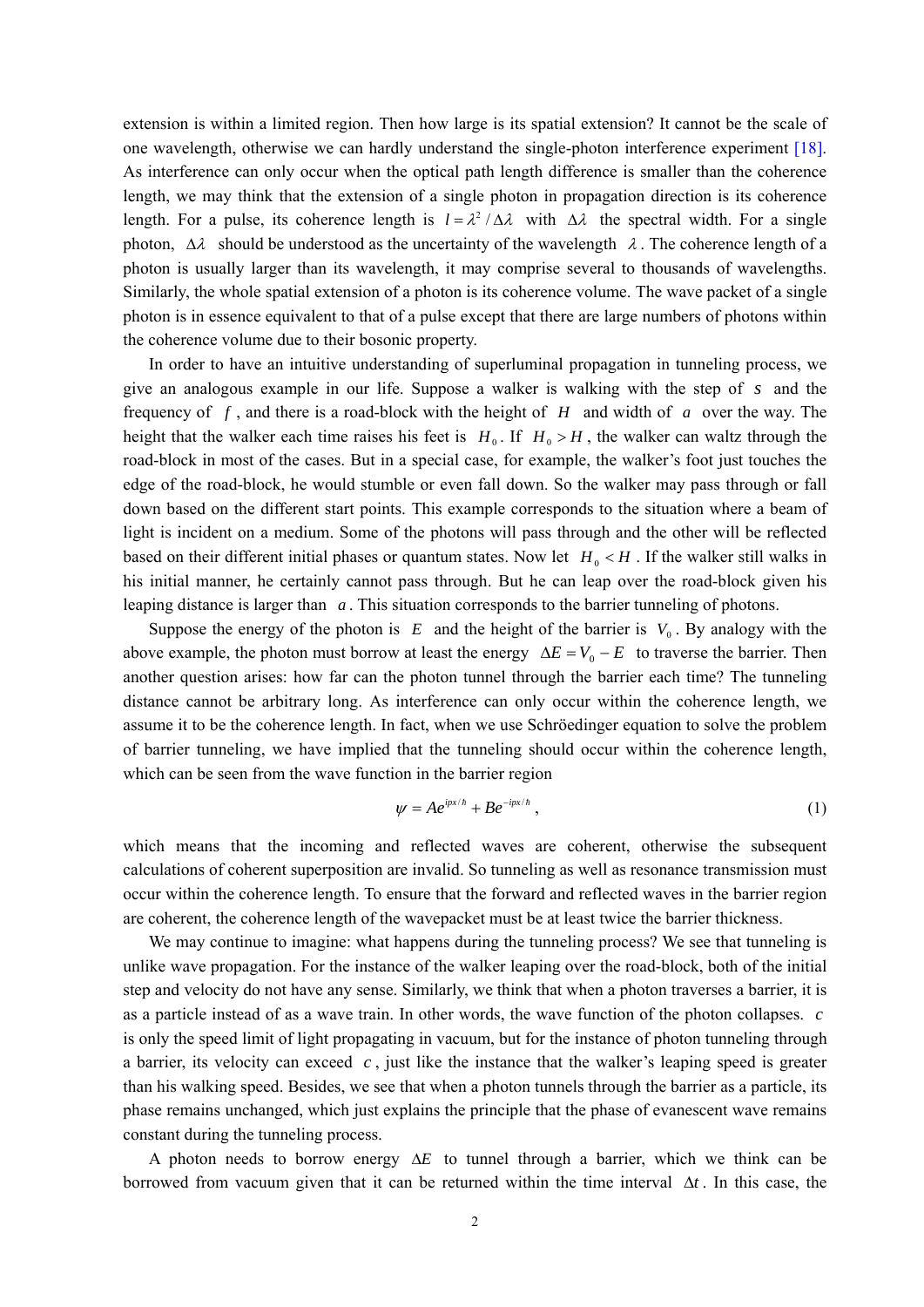extension is within a limited region. Then how large is its spatial extension? It cannot be the scale of one wavelength, otherwise we can hardly understand the single-photon interference experiment [18]. As interference can only occur when the optical path length difference is smaller than the coherence length, we may think that the extension of a single photon in propagation direction is its coherence length. For a pulse, its coherence length is  $l = \lambda^2 / \Delta \lambda$  with  $\Delta \lambda$  the spectral width. For a single photon,  $\Delta \lambda$  should be understood as the uncertainty of the wavelength  $\lambda$ . The coherence length of a photon is usually larger than its wavelength, it may comprise several to thousands of wavelengths. Similarly, the whole spatial extension of a photon is its coherence volume. The wave packet of a single photon is in essence equivalent to that of a pulse except that there are large numbers of photons within the coherence volume due to their bosonic property.

In order to have an intuitive understanding of superluminal propagation in tunneling process, we give an analogous example in our life. Suppose a walker is walking with the step of s and the frequency of  $f$ , and there is a road-block with the height of  $H$  and width of  $a$  over the way. The height that the walker each time raises his feet is  $H_0$ . If  $H_0 > H$ , the walker can waltz through the road-block in most of the cases. But in a special case, for example, the walker's foot just touches the edge of the road-block, he would stumble or even fall down. So the walker may pass through or fall down based on the different start points. This example corresponds to the situation where a beam of light is incident on a medium. Some of the photons will pass through and the other will be reflected based on their different initial phases or quantum states. Now let  $H_0 < H$ . If the walker still walks in his initial manner, he certainly cannot pass through. But he can leap over the road-block given his leaping distance is larger than  $a$ . This situation corresponds to the barrier tunneling of photons.

Suppose the energy of the photon is  $E$  and the height of the barrier is  $V_0$ . By analogy with the above example, the photon must borrow at least the energy  $\Delta E = V_0 - E$  to traverse the barrier. Then another question arises: how far can the photon tunnel through the barrier each time? The tunneling distance cannot be arbitrary long. As interference can only occur within the coherence length, we assume it to be the coherence length. In fact, when we use Schröedinger equation to solve the problem of barrier tunneling, we have implied that the tunneling should occur within the coherence length, which can be seen from the wave function in the barrier region

$$
\psi = Ae^{ipx/\hbar} + Be^{-ipx/\hbar}, \qquad (1)
$$

which means that the incoming and reflected waves are coherent, otherwise the subsequent calculations of coherent superposition are invalid. So tunneling as well as resonance transmission must occur within the coherence length. To ensure that the forward and reflected waves in the barrier region are coherent, the coherence length of the wavepacket must be at least twice the barrier thickness.

We may continue to imagine: what happens during the tunneling process? We see that tunneling is unlike wave propagation. For the instance of the walker leaping over the road-block, both of the initial step and velocity do not have any sense. Similarly, we think that when a photon traverses a barrier, it is as a particle instead of as a wave train. In other words, the wave function of the photon collapses. *c* is only the speed limit of light propagating in vacuum, but for the instance of photon tunneling through a barrier, its velocity can exceed  $c$ , just like the instance that the walker's leaping speed is greater than his walking speed. Besides, we see that when a photon tunnels through the barrier as a particle, its phase remains unchanged, which just explains the principle that the phase of evanescent wave remains constant during the tunneling process.

A photon needs to borrow energy Δ*E* to tunnel through a barrier, which we think can be borrowed from vacuum given that it can be returned within the time interval  $\Delta t$ . In this case, the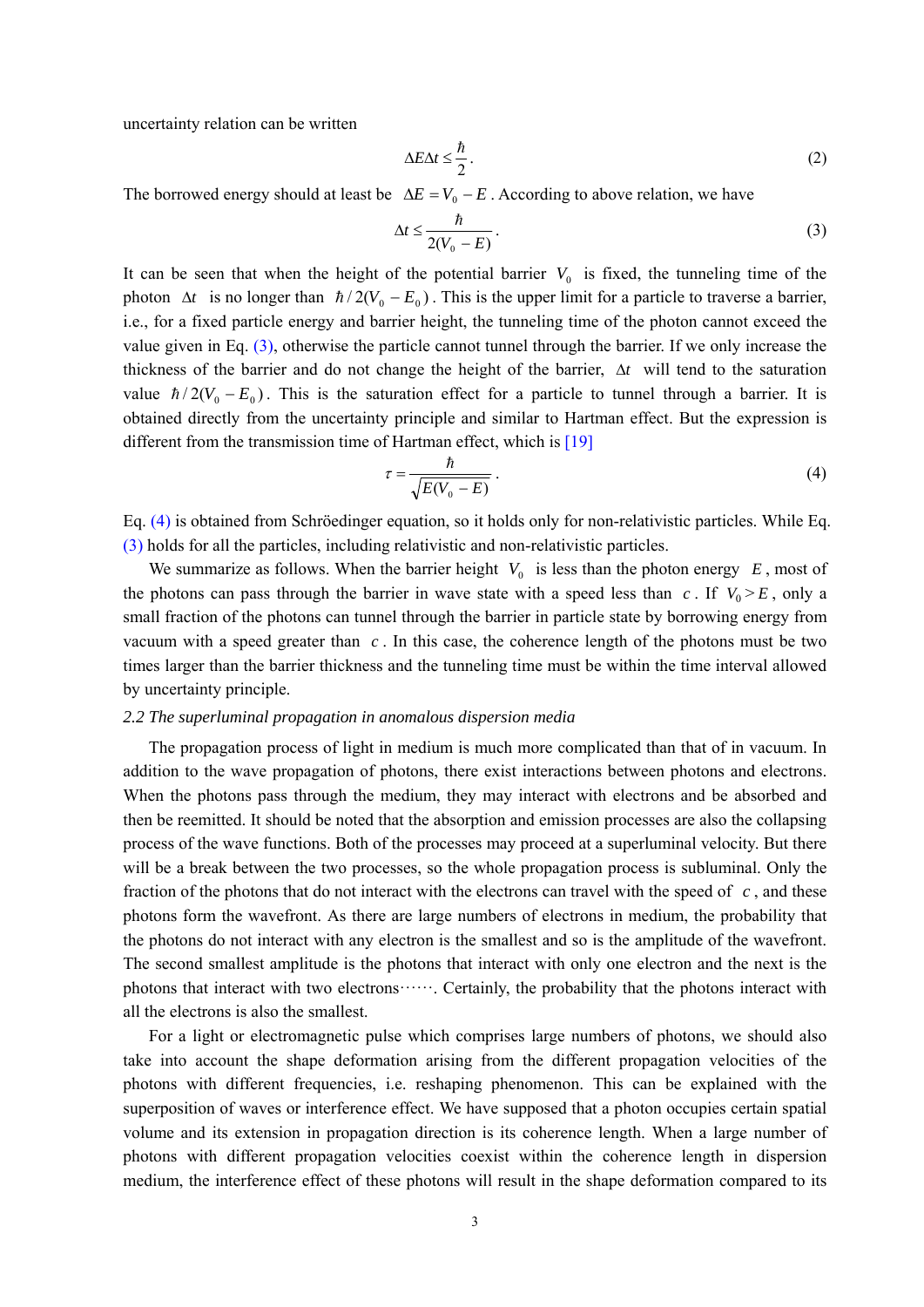uncertainty relation can be written

$$
\Delta E \Delta t \le \frac{\hbar}{2} \,. \tag{2}
$$

The borrowed energy should at least be  $\Delta E = V_0 - E$ . According to above relation, we have

$$
\Delta t \le \frac{\hbar}{2(V_0 - E)}.\tag{3}
$$

It can be seen that when the height of the potential barrier  $V_0$  is fixed, the tunneling time of the photon  $\Delta t$  is no longer than  $\hbar/2(V_0 - E_0)$ . This is the upper limit for a particle to traverse a barrier, i.e., for a fixed particle energy and barrier height, the tunneling time of the photon cannot exceed the value given in Eq. (3), otherwise the particle cannot tunnel through the barrier. If we only increase the thickness of the barrier and do not change the height of the barrier, Δ*t* will tend to the saturation value  $\hbar/2(V_0 - E_0)$ . This is the saturation effect for a particle to tunnel through a barrier. It is obtained directly from the uncertainty principle and similar to Hartman effect. But the expression is different from the transmission time of Hartman effect, which is [19]

$$
\tau = \frac{\hbar}{\sqrt{E(V_0 - E)}}\,. \tag{4}
$$

Eq. (4) is obtained from Schröedinger equation, so it holds only for non-relativistic particles. While Eq. (3) holds for all the particles, including relativistic and non-relativistic particles.

We summarize as follows. When the barrier height  $V_0$  is less than the photon energy  $E$ , most of the photons can pass through the barrier in wave state with a speed less than  $c$ . If  $V_0 \ge E$ , only a small fraction of the photons can tunnel through the barrier in particle state by borrowing energy from vacuum with a speed greater than  $c$ . In this case, the coherence length of the photons must be two times larger than the barrier thickness and the tunneling time must be within the time interval allowed by uncertainty principle.

#### *2.2 The superluminal propagation in anomalous dispersion media*

The propagation process of light in medium is much more complicated than that of in vacuum. In addition to the wave propagation of photons, there exist interactions between photons and electrons. When the photons pass through the medium, they may interact with electrons and be absorbed and then be reemitted. It should be noted that the absorption and emission processes are also the collapsing process of the wave functions. Both of the processes may proceed at a superluminal velocity. But there will be a break between the two processes, so the whole propagation process is subluminal. Only the fraction of the photons that do not interact with the electrons can travel with the speed of  $c$ , and these photons form the wavefront. As there are large numbers of electrons in medium, the probability that the photons do not interact with any electron is the smallest and so is the amplitude of the wavefront. The second smallest amplitude is the photons that interact with only one electron and the next is the photons that interact with two electrons······. Certainly, the probability that the photons interact with all the electrons is also the smallest.

For a light or electromagnetic pulse which comprises large numbers of photons, we should also take into account the shape deformation arising from the different propagation velocities of the photons with different frequencies, i.e. reshaping phenomenon. This can be explained with the superposition of waves or interference effect. We have supposed that a photon occupies certain spatial volume and its extension in propagation direction is its coherence length. When a large number of photons with different propagation velocities coexist within the coherence length in dispersion medium, the interference effect of these photons will result in the shape deformation compared to its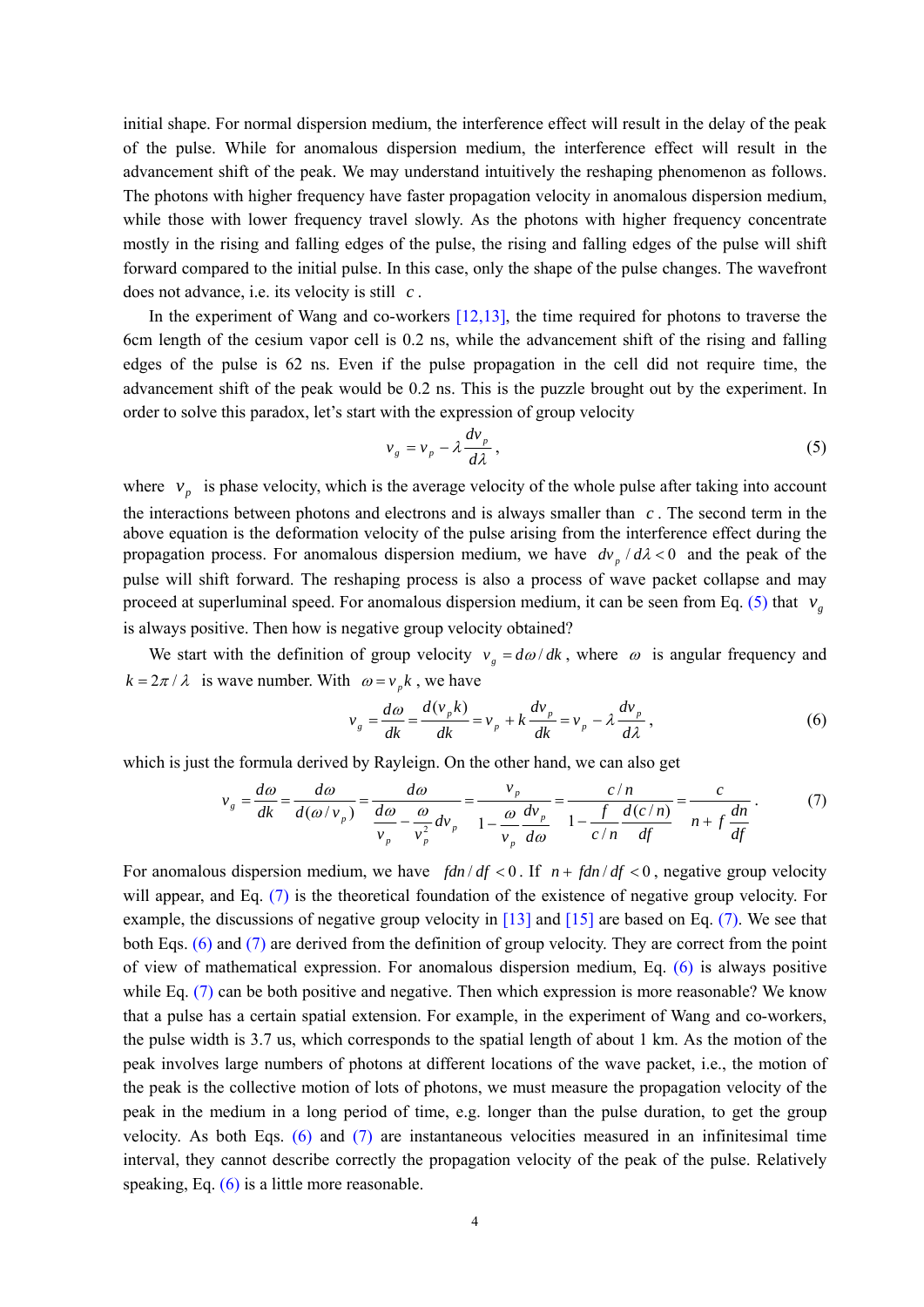initial shape. For normal dispersion medium, the interference effect will result in the delay of the peak of the pulse. While for anomalous dispersion medium, the interference effect will result in the advancement shift of the peak. We may understand intuitively the reshaping phenomenon as follows. The photons with higher frequency have faster propagation velocity in anomalous dispersion medium, while those with lower frequency travel slowly. As the photons with higher frequency concentrate mostly in the rising and falling edges of the pulse, the rising and falling edges of the pulse will shift forward compared to the initial pulse. In this case, only the shape of the pulse changes. The wavefront does not advance, i.e. its velocity is still *c* .

In the experiment of Wang and co-workers  $[12,13]$ , the time required for photons to traverse the 6cm length of the cesium vapor cell is 0.2 ns, while the advancement shift of the rising and falling edges of the pulse is 62 ns. Even if the pulse propagation in the cell did not require time, the advancement shift of the peak would be 0.2 ns. This is the puzzle brought out by the experiment. In order to solve this paradox, let's start with the expression of group velocity

$$
v_g = v_p - \lambda \frac{dv_p}{d\lambda},
$$
\n(5)

where  $v_p$  is phase velocity, which is the average velocity of the whole pulse after taking into account the interactions between photons and electrons and is always smaller than  $c$ . The second term in the above equation is the deformation velocity of the pulse arising from the interference effect during the propagation process. For anomalous dispersion medium, we have  $dv_p/d\lambda < 0$  and the peak of the pulse will shift forward. The reshaping process is also a process of wave packet collapse and may proceed at superluminal speed. For anomalous dispersion medium, it can be seen from Eq. (5) that  $v<sub>g</sub>$ is always positive. Then how is negative group velocity obtained?

We start with the definition of group velocity  $v_g = d\omega/dk$ , where  $\omega$  is angular frequency and  $k = 2\pi / \lambda$  is wave number. With  $\omega = v_n k$ , we have

$$
v_g = \frac{d\omega}{dk} = \frac{d(v_p k)}{dk} = v_p + k \frac{dv_p}{dk} = v_p - \lambda \frac{dv_p}{d\lambda},
$$
\n(6)

which is just the formula derived by Rayleign. On the other hand, we can also get

$$
v_g = \frac{d\omega}{dk} = \frac{d\omega}{d(\omega/v_p)} = \frac{d\omega}{\frac{d\omega}{v_p} - \frac{\omega}{v_p^2}dv_p} = \frac{v_p}{1 - \frac{\omega}{v_p}\frac{dv_p}{d\omega}} = \frac{c/n}{1 - \frac{f}{c/n}\frac{d(c/n)}{df}} = \frac{c}{n + f\frac{dn}{df}}.
$$
(7)

For anomalous dispersion medium, we have  $\int \frac{d\mathbf{r}}{dt} < 0$ . If  $n + \frac{f}{dt} < 0$ , negative group velocity will appear, and Eq. (7) is the theoretical foundation of the existence of negative group velocity. For example, the discussions of negative group velocity in [13] and [15] are based on Eq. (7). We see that both Eqs. (6) and (7) are derived from the definition of group velocity. They are correct from the point of view of mathematical expression. For anomalous dispersion medium, Eq. (6) is always positive while Eq. (7) can be both positive and negative. Then which expression is more reasonable? We know that a pulse has a certain spatial extension. For example, in the experiment of Wang and co-workers, the pulse width is 3.7 us, which corresponds to the spatial length of about 1 km. As the motion of the peak involves large numbers of photons at different locations of the wave packet, i.e., the motion of the peak is the collective motion of lots of photons, we must measure the propagation velocity of the peak in the medium in a long period of time, e.g. longer than the pulse duration, to get the group velocity. As both Eqs. (6) and (7) are instantaneous velocities measured in an infinitesimal time interval, they cannot describe correctly the propagation velocity of the peak of the pulse. Relatively speaking, Eq. (6) is a little more reasonable.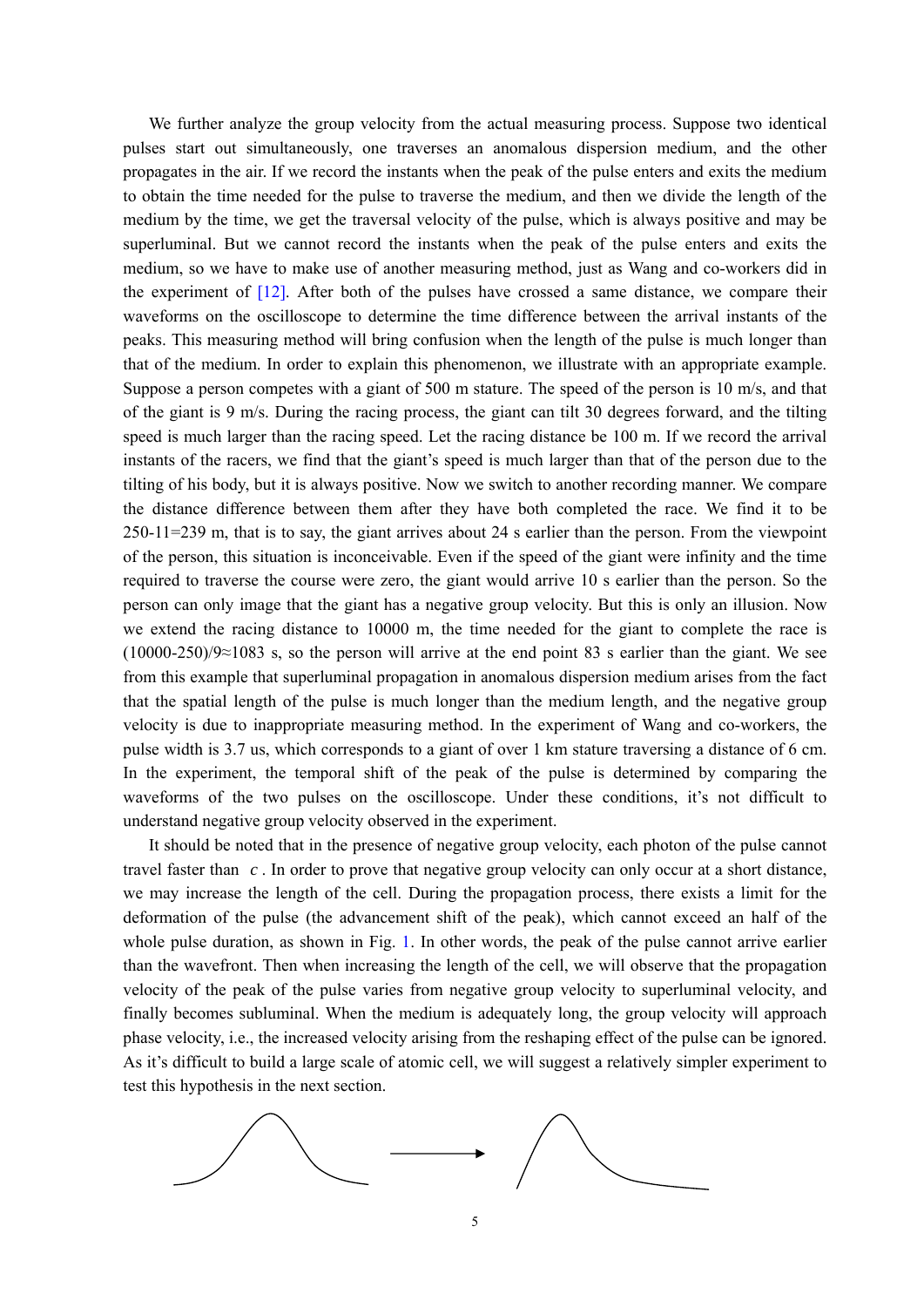We further analyze the group velocity from the actual measuring process. Suppose two identical pulses start out simultaneously, one traverses an anomalous dispersion medium, and the other propagates in the air. If we record the instants when the peak of the pulse enters and exits the medium to obtain the time needed for the pulse to traverse the medium, and then we divide the length of the medium by the time, we get the traversal velocity of the pulse, which is always positive and may be superluminal. But we cannot record the instants when the peak of the pulse enters and exits the medium, so we have to make use of another measuring method, just as Wang and co-workers did in the experiment of  $[12]$ . After both of the pulses have crossed a same distance, we compare their waveforms on the oscilloscope to determine the time difference between the arrival instants of the peaks. This measuring method will bring confusion when the length of the pulse is much longer than that of the medium. In order to explain this phenomenon, we illustrate with an appropriate example. Suppose a person competes with a giant of 500 m stature. The speed of the person is 10 m/s, and that of the giant is 9 m/s. During the racing process, the giant can tilt 30 degrees forward, and the tilting speed is much larger than the racing speed. Let the racing distance be 100 m. If we record the arrival instants of the racers, we find that the giant's speed is much larger than that of the person due to the tilting of his body, but it is always positive. Now we switch to another recording manner. We compare the distance difference between them after they have both completed the race. We find it to be 250-11=239 m, that is to say, the giant arrives about 24 s earlier than the person. From the viewpoint of the person, this situation is inconceivable. Even if the speed of the giant were infinity and the time required to traverse the course were zero, the giant would arrive 10 s earlier than the person. So the person can only image that the giant has a negative group velocity. But this is only an illusion. Now we extend the racing distance to 10000 m, the time needed for the giant to complete the race is (10000-250)/9≈1083 s, so the person will arrive at the end point 83 s earlier than the giant. We see from this example that superluminal propagation in anomalous dispersion medium arises from the fact that the spatial length of the pulse is much longer than the medium length, and the negative group velocity is due to inappropriate measuring method. In the experiment of Wang and co-workers, the pulse width is 3.7 us, which corresponds to a giant of over 1 km stature traversing a distance of 6 cm. In the experiment, the temporal shift of the peak of the pulse is determined by comparing the waveforms of the two pulses on the oscilloscope. Under these conditions, it's not difficult to understand negative group velocity observed in the experiment.

It should be noted that in the presence of negative group velocity, each photon of the pulse cannot travel faster than  $c$ . In order to prove that negative group velocity can only occur at a short distance, we may increase the length of the cell. During the propagation process, there exists a limit for the deformation of the pulse (the advancement shift of the peak), which cannot exceed an half of the whole pulse duration, as shown in Fig. 1. In other words, the peak of the pulse cannot arrive earlier than the wavefront. Then when increasing the length of the cell, we will observe that the propagation velocity of the peak of the pulse varies from negative group velocity to superluminal velocity, and finally becomes subluminal. When the medium is adequately long, the group velocity will approach phase velocity, i.e., the increased velocity arising from the reshaping effect of the pulse can be ignored. As it's difficult to build a large scale of atomic cell, we will suggest a relatively simpler experiment to test this hypothesis in the next section.

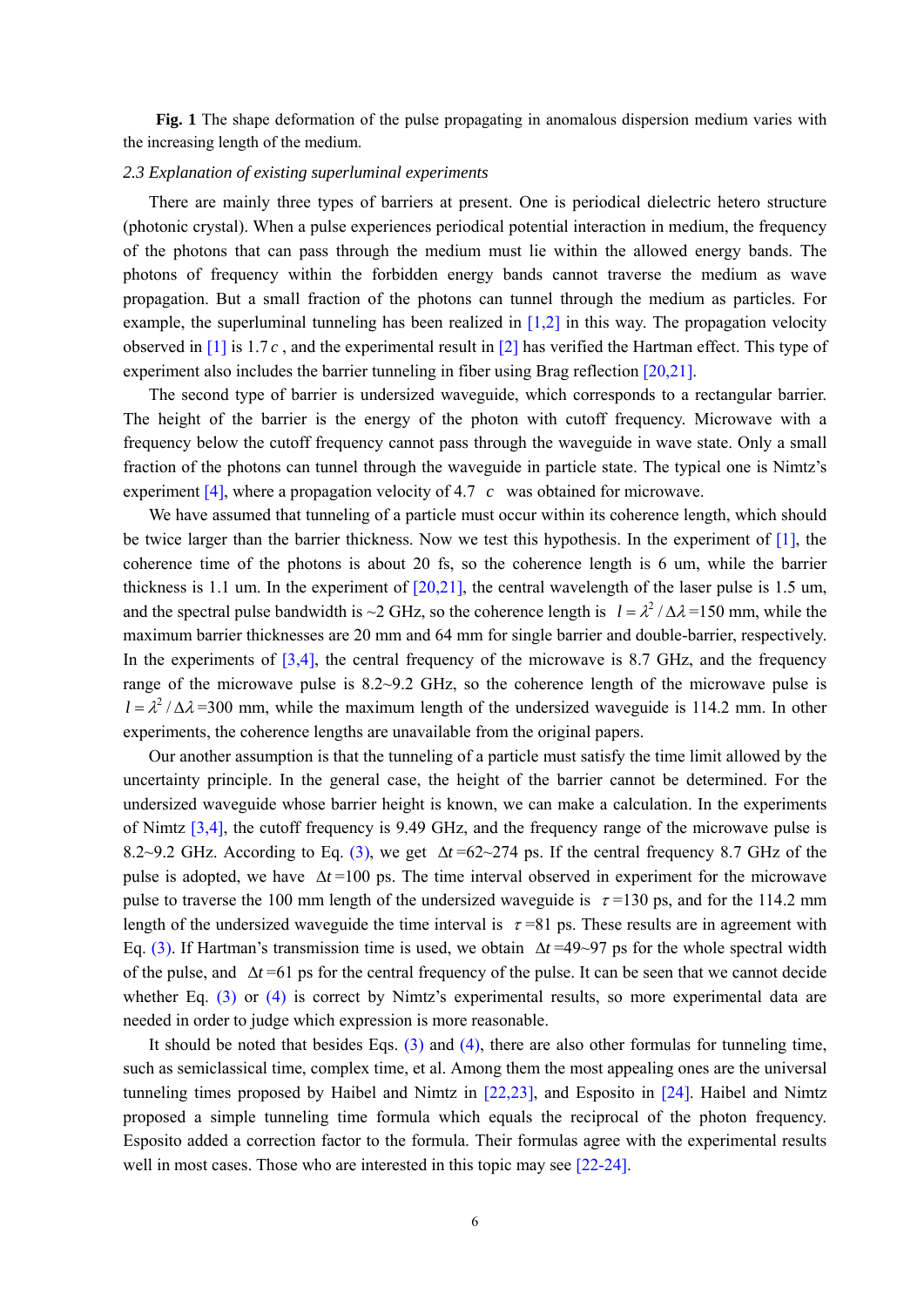**Fig. 1** The shape deformation of the pulse propagating in anomalous dispersion medium varies with the increasing length of the medium.

## *2.3 Explanation of existing superluminal experiments*

There are mainly three types of barriers at present. One is periodical dielectric hetero structure (photonic crystal). When a pulse experiences periodical potential interaction in medium, the frequency of the photons that can pass through the medium must lie within the allowed energy bands. The photons of frequency within the forbidden energy bands cannot traverse the medium as wave propagation. But a small fraction of the photons can tunnel through the medium as particles. For example, the superluminal tunneling has been realized in  $[1,2]$  in this way. The propagation velocity observed in  $\lceil 1 \rceil$  is 1.7 c, and the experimental result in  $\lceil 2 \rceil$  has verified the Hartman effect. This type of experiment also includes the barrier tunneling in fiber using Brag reflection [20,21].

The second type of barrier is undersized waveguide, which corresponds to a rectangular barrier. The height of the barrier is the energy of the photon with cutoff frequency. Microwave with a frequency below the cutoff frequency cannot pass through the waveguide in wave state. Only a small fraction of the photons can tunnel through the waveguide in particle state. The typical one is Nimtz's experiment [4], where a propagation velocity of 4.7 *c* was obtained for microwave.

We have assumed that tunneling of a particle must occur within its coherence length, which should be twice larger than the barrier thickness. Now we test this hypothesis. In the experiment of [1], the coherence time of the photons is about 20 fs, so the coherence length is 6 um, while the barrier thickness is 1.1 um. In the experiment of  $[20,21]$ , the central wavelength of the laser pulse is 1.5 um, and the spectral pulse bandwidth is ~2 GHz, so the coherence length is  $l = \lambda^2 / \Delta \lambda = 150$  mm, while the maximum barrier thicknesses are 20 mm and 64 mm for single barrier and double-barrier, respectively. In the experiments of  $[3,4]$ , the central frequency of the microwave is 8.7 GHz, and the frequency range of the microwave pulse is 8.2~9.2 GHz, so the coherence length of the microwave pulse is  $l = \lambda^2 / \Delta \lambda = 300$  mm, while the maximum length of the undersized waveguide is 114.2 mm. In other experiments, the coherence lengths are unavailable from the original papers.

Our another assumption is that the tunneling of a particle must satisfy the time limit allowed by the uncertainty principle. In the general case, the height of the barrier cannot be determined. For the undersized waveguide whose barrier height is known, we can make a calculation. In the experiments of Nimtz [3,4], the cutoff frequency is 9.49 GHz, and the frequency range of the microwave pulse is 8.2~9.2 GHz. According to Eq. (3), we get Δ*t* =62~274 ps. If the central frequency 8.7 GHz of the pulse is adopted, we have  $\Delta t = 100$  ps. The time interval observed in experiment for the microwave pulse to traverse the 100 mm length of the undersized waveguide is  $\tau$ =130 ps, and for the 114.2 mm length of the undersized waveguide the time interval is  $\tau = 81$  ps. These results are in agreement with Eq. (3). If Hartman's transmission time is used, we obtain  $\Delta t = 49 \sim 97$  ps for the whole spectral width of the pulse, and  $\Delta t = 61$  ps for the central frequency of the pulse. It can be seen that we cannot decide whether Eq.  $(3)$  or  $(4)$  is correct by Nimtz's experimental results, so more experimental data are needed in order to judge which expression is more reasonable.

It should be noted that besides Eqs.  $(3)$  and  $(4)$ , there are also other formulas for tunneling time, such as semiclassical time, complex time, et al. Among them the most appealing ones are the universal tunneling times proposed by Haibel and Nimtz in  $[22,23]$ , and Esposito in  $[24]$ . Haibel and Nimtz proposed a simple tunneling time formula which equals the reciprocal of the photon frequency. Esposito added a correction factor to the formula. Their formulas agree with the experimental results well in most cases. Those who are interested in this topic may see [22-24].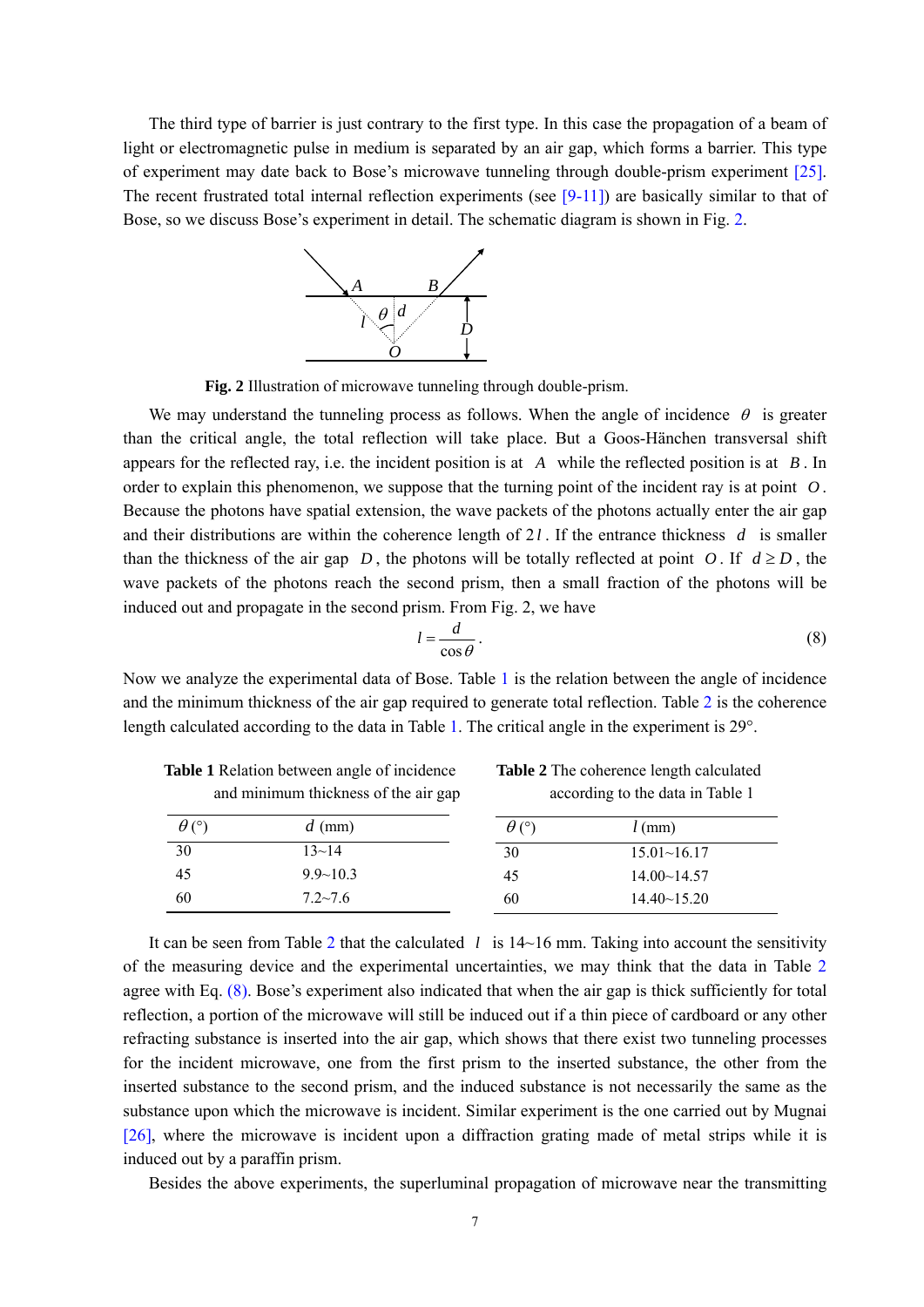The third type of barrier is just contrary to the first type. In this case the propagation of a beam of light or electromagnetic pulse in medium is separated by an air gap, which forms a barrier. This type of experiment may date back to Bose's microwave tunneling through double-prism experiment [25]. The recent frustrated total internal reflection experiments (see  $[9-11]$ ) are basically similar to that of Bose, so we discuss Bose's experiment in detail. The schematic diagram is shown in Fig. 2.



**Fig. 2** Illustration of microwave tunneling through double-prism.

We may understand the tunneling process as follows. When the angle of incidence  $\theta$  is greater than the critical angle, the total reflection will take place. But a Goos-Hänchen transversal shift appears for the reflected ray, i.e. the incident position is at  $\overline{A}$  while the reflected position is at  $\overline{B}$ . In order to explain this phenomenon, we suppose that the turning point of the incident ray is at point  $O$ . Because the photons have spatial extension, the wave packets of the photons actually enter the air gap and their distributions are within the coherence length of  $2l$ . If the entrance thickness  $d$  is smaller than the thickness of the air gap  $D$ , the photons will be totally reflected at point  $O$ . If  $d \ge D$ , the wave packets of the photons reach the second prism, then a small fraction of the photons will be induced out and propagate in the second prism. From Fig. 2, we have

$$
l = \frac{d}{\cos \theta} \,. \tag{8}
$$

Now we analyze the experimental data of Bose. Table 1 is the relation between the angle of incidence and the minimum thickness of the air gap required to generate total reflection. Table 2 is the coherence length calculated according to the data in Table 1. The critical angle in the experiment is 29°.

**Table 1** Relation between angle of incidence **Table 2** The coherence length calculated

| and minimum thickness of the air gap |                | according to the data in Table 1 |                      |
|--------------------------------------|----------------|----------------------------------|----------------------|
| $\theta$ (°)                         | $d$ (mm)       | $\theta$ (°)                     | $l$ (mm)             |
| 30                                   | $13 - 14$      | 30                               | 15.01~16.17          |
| 45                                   | $9.9 - 10.3$   | 45                               | $14.00 \times 14.57$ |
| 60                                   | $7.2 \sim 7.6$ | 60                               | $14.40 \sim 15.20$   |

It can be seen from Table 2 that the calculated  $l$  is  $14~16$  mm. Taking into account the sensitivity of the measuring device and the experimental uncertainties, we may think that the data in Table 2 agree with Eq. (8). Bose's experiment also indicated that when the air gap is thick sufficiently for total reflection, a portion of the microwave will still be induced out if a thin piece of cardboard or any other refracting substance is inserted into the air gap, which shows that there exist two tunneling processes for the incident microwave, one from the first prism to the inserted substance, the other from the inserted substance to the second prism, and the induced substance is not necessarily the same as the substance upon which the microwave is incident. Similar experiment is the one carried out by Mugnai [26], where the microwave is incident upon a diffraction grating made of metal strips while it is induced out by a paraffin prism.

Besides the above experiments, the superluminal propagation of microwave near the transmitting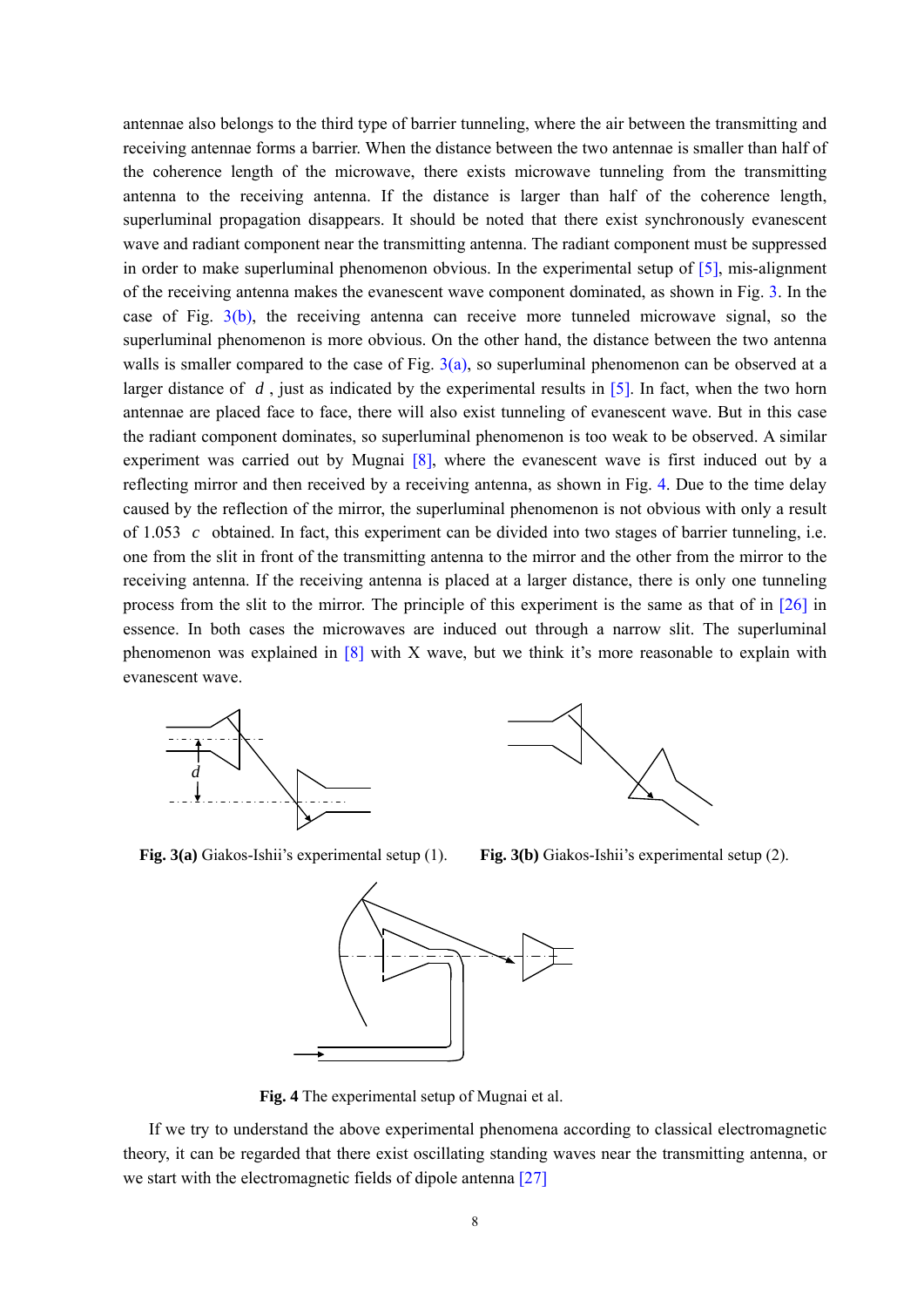antennae also belongs to the third type of barrier tunneling, where the air between the transmitting and receiving antennae forms a barrier. When the distance between the two antennae is smaller than half of the coherence length of the microwave, there exists microwave tunneling from the transmitting antenna to the receiving antenna. If the distance is larger than half of the coherence length, superluminal propagation disappears. It should be noted that there exist synchronously evanescent wave and radiant component near the transmitting antenna. The radiant component must be suppressed in order to make superluminal phenomenon obvious. In the experimental setup of [5], mis-alignment of the receiving antenna makes the evanescent wave component dominated, as shown in Fig. 3. In the case of Fig. 3(b), the receiving antenna can receive more tunneled microwave signal, so the superluminal phenomenon is more obvious. On the other hand, the distance between the two antenna walls is smaller compared to the case of Fig.  $3(a)$ , so superluminal phenomenon can be observed at a larger distance of  $d$ , just as indicated by the experimental results in  $[5]$ . In fact, when the two horn antennae are placed face to face, there will also exist tunneling of evanescent wave. But in this case the radiant component dominates, so superluminal phenomenon is too weak to be observed. A similar experiment was carried out by Mugnai [8], where the evanescent wave is first induced out by a reflecting mirror and then received by a receiving antenna, as shown in Fig. 4. Due to the time delay caused by the reflection of the mirror, the superluminal phenomenon is not obvious with only a result of  $1.053$  c obtained. In fact, this experiment can be divided into two stages of barrier tunneling, i.e. one from the slit in front of the transmitting antenna to the mirror and the other from the mirror to the receiving antenna. If the receiving antenna is placed at a larger distance, there is only one tunneling process from the slit to the mirror. The principle of this experiment is the same as that of in [26] in essence. In both cases the microwaves are induced out through a narrow slit. The superluminal phenomenon was explained in  $[8]$  with X wave, but we think it's more reasonable to explain with evanescent wave.





**Fig. 3(a)** Giakos-Ishii's experimental setup (1). **Fig. 3(b)** Giakos-Ishii's experimental setup (2).



**Fig. 4** The experimental setup of Mugnai et al.

If we try to understand the above experimental phenomena according to classical electromagnetic theory, it can be regarded that there exist oscillating standing waves near the transmitting antenna, or we start with the electromagnetic fields of dipole antenna [27]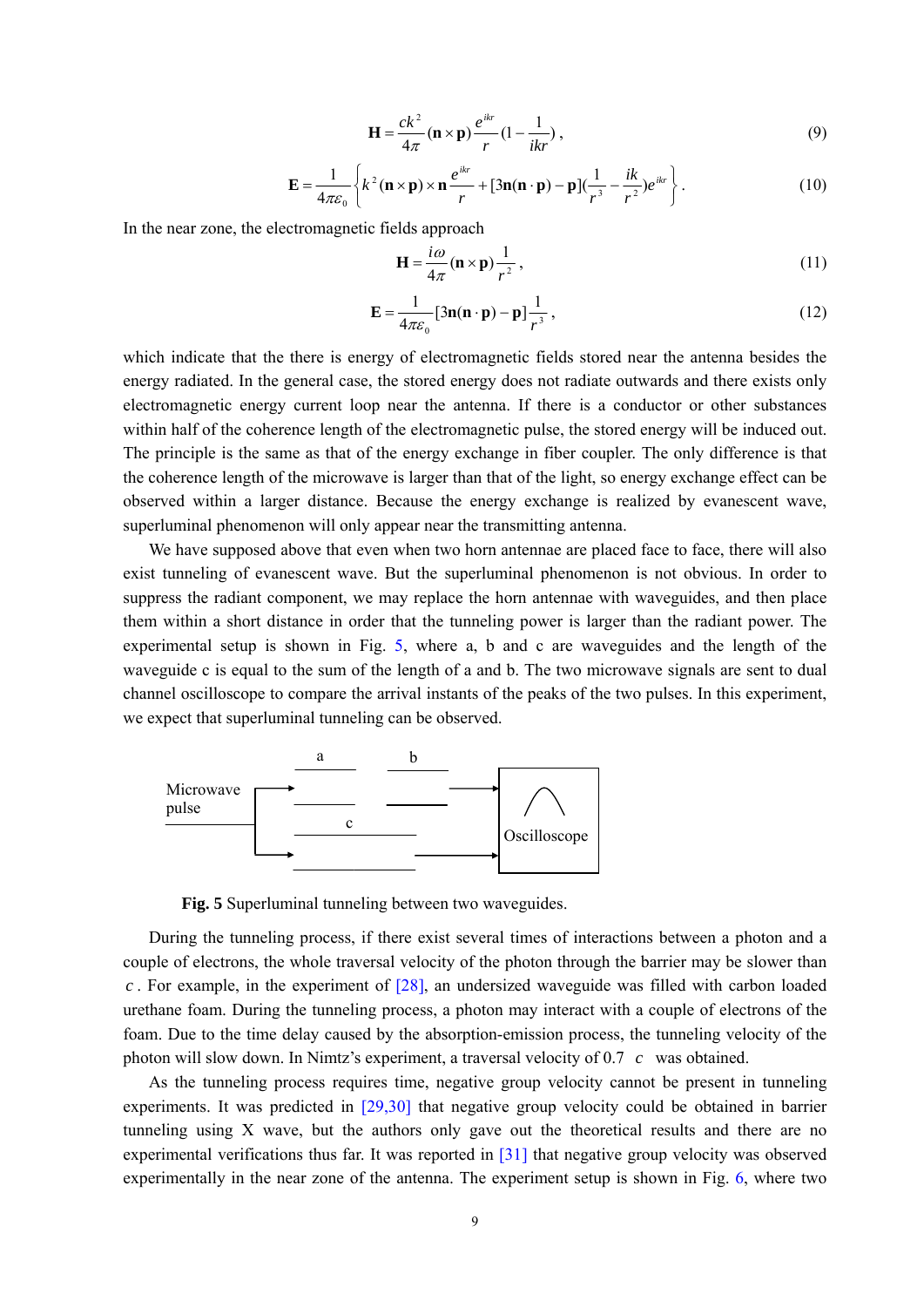$$
\mathbf{H} = \frac{ck^2}{4\pi} (\mathbf{n} \times \mathbf{p}) \frac{e^{ikr}}{r} (1 - \frac{1}{ikr}),
$$
\n(9)

$$
\mathbf{E} = \frac{1}{4\pi\varepsilon_0} \left\{ k^2 (\mathbf{n} \times \mathbf{p}) \times \mathbf{n} \frac{e^{ikr}}{r} + \left[ 3\mathbf{n} (\mathbf{n} \cdot \mathbf{p}) - \mathbf{p} \right] \left( \frac{1}{r^3} - \frac{ik}{r^2} \right) e^{ikr} \right\}.
$$
 (10)

In the near zone, the electromagnetic fields approach

$$
\mathbf{H} = \frac{i\omega}{4\pi} (\mathbf{n} \times \mathbf{p}) \frac{1}{r^2},\tag{11}
$$

$$
\mathbf{E} = \frac{1}{4\pi\varepsilon_0} [3\mathbf{n}(\mathbf{n} \cdot \mathbf{p}) - \mathbf{p}] \frac{1}{r^3},
$$
 (12)

which indicate that the there is energy of electromagnetic fields stored near the antenna besides the energy radiated. In the general case, the stored energy does not radiate outwards and there exists only electromagnetic energy current loop near the antenna. If there is a conductor or other substances within half of the coherence length of the electromagnetic pulse, the stored energy will be induced out. The principle is the same as that of the energy exchange in fiber coupler. The only difference is that the coherence length of the microwave is larger than that of the light, so energy exchange effect can be observed within a larger distance. Because the energy exchange is realized by evanescent wave, superluminal phenomenon will only appear near the transmitting antenna.

We have supposed above that even when two horn antennae are placed face to face, there will also exist tunneling of evanescent wave. But the superluminal phenomenon is not obvious. In order to suppress the radiant component, we may replace the horn antennae with waveguides, and then place them within a short distance in order that the tunneling power is larger than the radiant power. The experimental setup is shown in Fig. 5, where a, b and c are waveguides and the length of the waveguide c is equal to the sum of the length of a and b. The two microwave signals are sent to dual channel oscilloscope to compare the arrival instants of the peaks of the two pulses. In this experiment, we expect that superluminal tunneling can be observed.



**Fig. 5** Superluminal tunneling between two waveguides.

During the tunneling process, if there exist several times of interactions between a photon and a couple of electrons, the whole traversal velocity of the photon through the barrier may be slower than  $c$ . For example, in the experiment of  $[28]$ , an undersized waveguide was filled with carbon loaded urethane foam. During the tunneling process, a photon may interact with a couple of electrons of the foam. Due to the time delay caused by the absorption-emission process, the tunneling velocity of the photon will slow down. In Nimtz's experiment, a traversal velocity of  $0.7 \, c$  was obtained.

As the tunneling process requires time, negative group velocity cannot be present in tunneling experiments. It was predicted in [29,30] that negative group velocity could be obtained in barrier tunneling using X wave, but the authors only gave out the theoretical results and there are no experimental verifications thus far. It was reported in [31] that negative group velocity was observed experimentally in the near zone of the antenna. The experiment setup is shown in Fig. 6, where two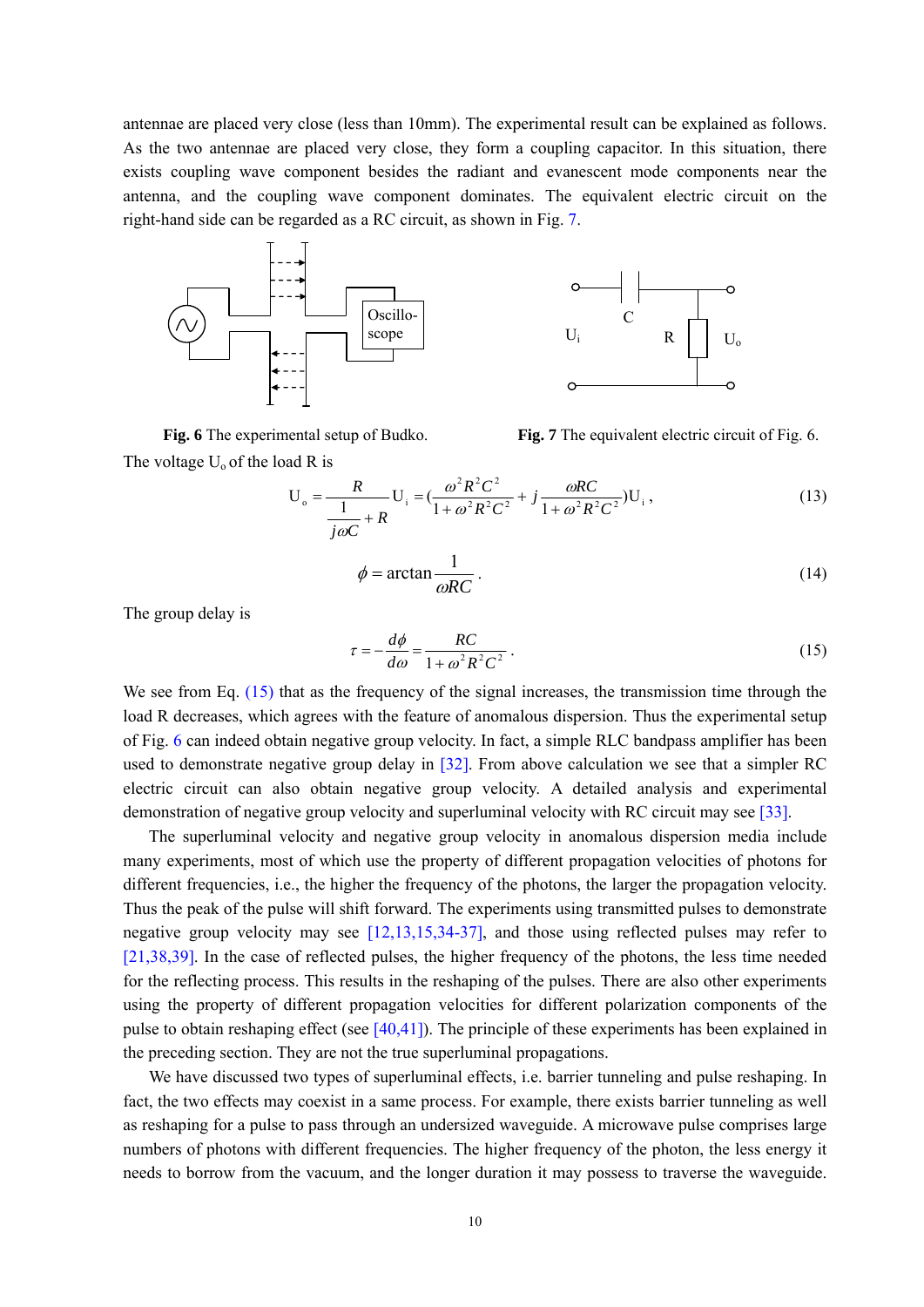antennae are placed very close (less than 10mm). The experimental result can be explained as follows. As the two antennae are placed very close, they form a coupling capacitor. In this situation, there exists coupling wave component besides the radiant and evanescent mode components near the antenna, and the coupling wave component dominates. The equivalent electric circuit on the right-hand side can be regarded as a RC circuit, as shown in Fig. 7.



The voltage  $U_0$  of the load R is

**Fig. 6** The experimental setup of Budko. **Fig. 7** The equivalent electric circuit of Fig. 6.

$$
U_o = \frac{R}{\frac{1}{j\omega C} + R} U_i = \left(\frac{\omega^2 R^2 C^2}{1 + \omega^2 R^2 C^2} + j \frac{\omega RC}{1 + \omega^2 R^2 C^2}\right) U_i,
$$
\n(13)

$$
\phi = \arctan \frac{1}{\omega RC} \,. \tag{14}
$$

The group delay is

$$
\tau = -\frac{d\phi}{d\omega} = \frac{RC}{1 + \omega^2 R^2 C^2} \,. \tag{15}
$$

We see from Eq. (15) that as the frequency of the signal increases, the transmission time through the load R decreases, which agrees with the feature of anomalous dispersion. Thus the experimental setup of Fig. 6 can indeed obtain negative group velocity. In fact, a simple RLC bandpass amplifier has been used to demonstrate negative group delay in [32]. From above calculation we see that a simpler RC electric circuit can also obtain negative group velocity. A detailed analysis and experimental demonstration of negative group velocity and superluminal velocity with RC circuit may see [33].

The superluminal velocity and negative group velocity in anomalous dispersion media include many experiments, most of which use the property of different propagation velocities of photons for different frequencies, i.e., the higher the frequency of the photons, the larger the propagation velocity. Thus the peak of the pulse will shift forward. The experiments using transmitted pulses to demonstrate negative group velocity may see [12,13,15,34-37], and those using reflected pulses may refer to [21,38,39]. In the case of reflected pulses, the higher frequency of the photons, the less time needed for the reflecting process. This results in the reshaping of the pulses. There are also other experiments using the property of different propagation velocities for different polarization components of the pulse to obtain reshaping effect (see [40,41]). The principle of these experiments has been explained in the preceding section. They are not the true superluminal propagations.

We have discussed two types of superluminal effects, i.e. barrier tunneling and pulse reshaping. In fact, the two effects may coexist in a same process. For example, there exists barrier tunneling as well as reshaping for a pulse to pass through an undersized waveguide. A microwave pulse comprises large numbers of photons with different frequencies. The higher frequency of the photon, the less energy it needs to borrow from the vacuum, and the longer duration it may possess to traverse the waveguide.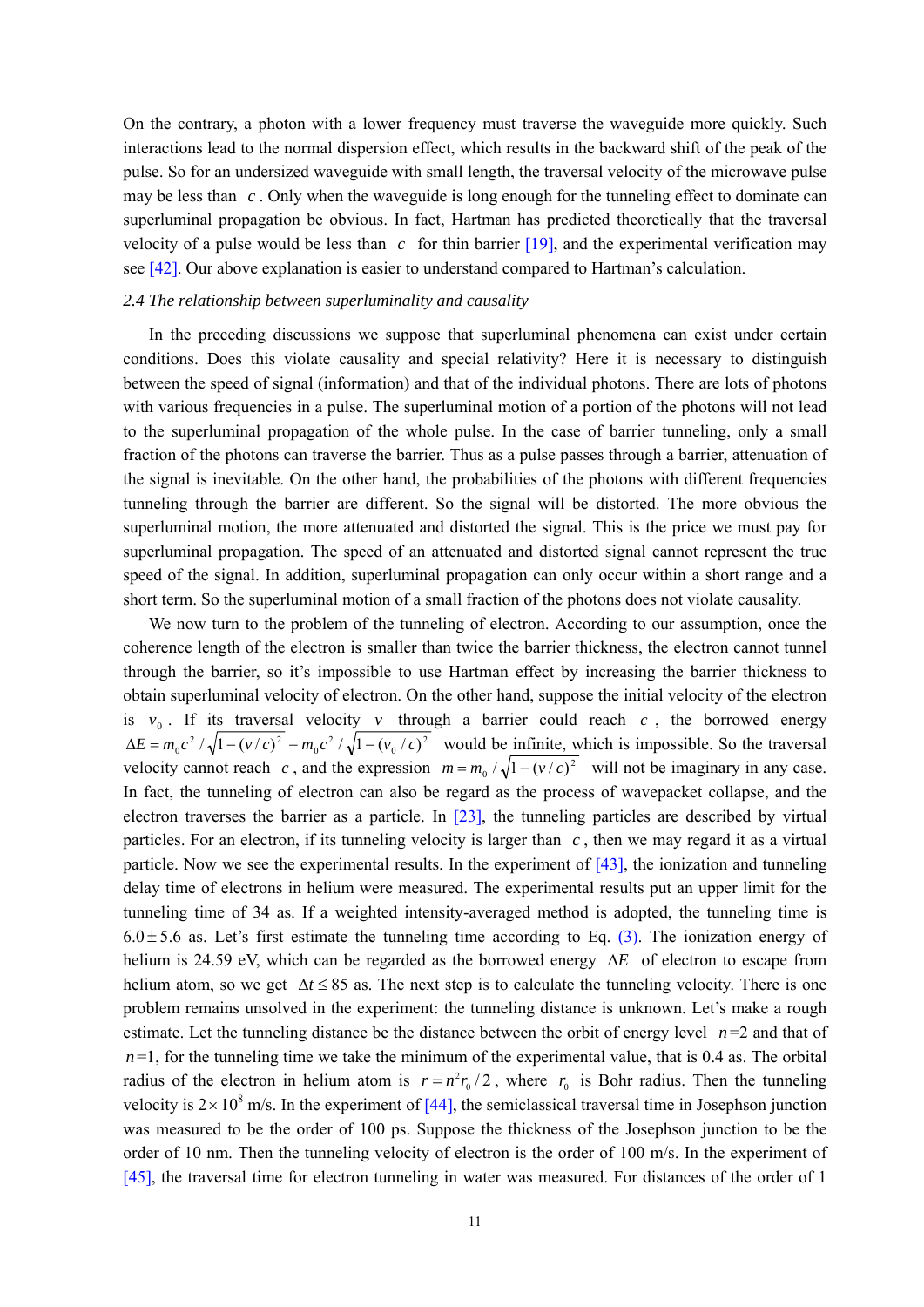On the contrary, a photon with a lower frequency must traverse the waveguide more quickly. Such interactions lead to the normal dispersion effect, which results in the backward shift of the peak of the pulse. So for an undersized waveguide with small length, the traversal velocity of the microwave pulse may be less than  $c$ . Only when the waveguide is long enough for the tunneling effect to dominate can superluminal propagation be obvious. In fact, Hartman has predicted theoretically that the traversal velocity of a pulse would be less than  $c$  for thin barrier  $[19]$ , and the experimental verification may see [42]. Our above explanation is easier to understand compared to Hartman's calculation.

### *2.4 The relationship between superluminality and causality*

In the preceding discussions we suppose that superluminal phenomena can exist under certain conditions. Does this violate causality and special relativity? Here it is necessary to distinguish between the speed of signal (information) and that of the individual photons. There are lots of photons with various frequencies in a pulse. The superluminal motion of a portion of the photons will not lead to the superluminal propagation of the whole pulse. In the case of barrier tunneling, only a small fraction of the photons can traverse the barrier. Thus as a pulse passes through a barrier, attenuation of the signal is inevitable. On the other hand, the probabilities of the photons with different frequencies tunneling through the barrier are different. So the signal will be distorted. The more obvious the superluminal motion, the more attenuated and distorted the signal. This is the price we must pay for superluminal propagation. The speed of an attenuated and distorted signal cannot represent the true speed of the signal. In addition, superluminal propagation can only occur within a short range and a short term. So the superluminal motion of a small fraction of the photons does not violate causality.

We now turn to the problem of the tunneling of electron. According to our assumption, once the coherence length of the electron is smaller than twice the barrier thickness, the electron cannot tunnel through the barrier, so it's impossible to use Hartman effect by increasing the barrier thickness to obtain superluminal velocity of electron. On the other hand, suppose the initial velocity of the electron is  $v_0$ . If its traversal velocity *v* through a barrier could reach *c*, the borrowed energy  $\Delta E = m_0 c^2 / \sqrt{1 - (v/c)^2 - m_0 c^2 / \sqrt{1 - (v_0/c)^2}}$  would be infinite, which is impossible. So the traversal velocity cannot reach *c*, and the expression  $m = m_0 / \sqrt{1 - (v/c)^2}$  will not be imaginary in any case. In fact, the tunneling of electron can also be regard as the process of wavepacket collapse, and the electron traverses the barrier as a particle. In [23], the tunneling particles are described by virtual particles. For an electron, if its tunneling velocity is larger than  $c$ , then we may regard it as a virtual particle. Now we see the experimental results. In the experiment of [43], the ionization and tunneling delay time of electrons in helium were measured. The experimental results put an upper limit for the tunneling time of 34 as. If a weighted intensity-averaged method is adopted, the tunneling time is  $6.0 \pm 5.6$  as. Let's first estimate the tunneling time according to Eq. (3). The ionization energy of helium is 24.59 eV, which can be regarded as the borrowed energy Δ*E* of electron to escape from helium atom, so we get  $\Delta t \le 85$  as. The next step is to calculate the tunneling velocity. There is one problem remains unsolved in the experiment: the tunneling distance is unknown. Let's make a rough estimate. Let the tunneling distance be the distance between the orbit of energy level  $n=2$  and that of  $n=1$ , for the tunneling time we take the minimum of the experimental value, that is 0.4 as. The orbital radius of the electron in helium atom is  $r = n^2 r_0 / 2$ , where  $r_0$  is Bohr radius. Then the tunneling velocity is  $2 \times 10^8$  m/s. In the experiment of [44], the semiclassical traversal time in Josephson junction was measured to be the order of 100 ps. Suppose the thickness of the Josephson junction to be the order of 10 nm. Then the tunneling velocity of electron is the order of 100 m/s. In the experiment of [45], the traversal time for electron tunneling in water was measured. For distances of the order of 1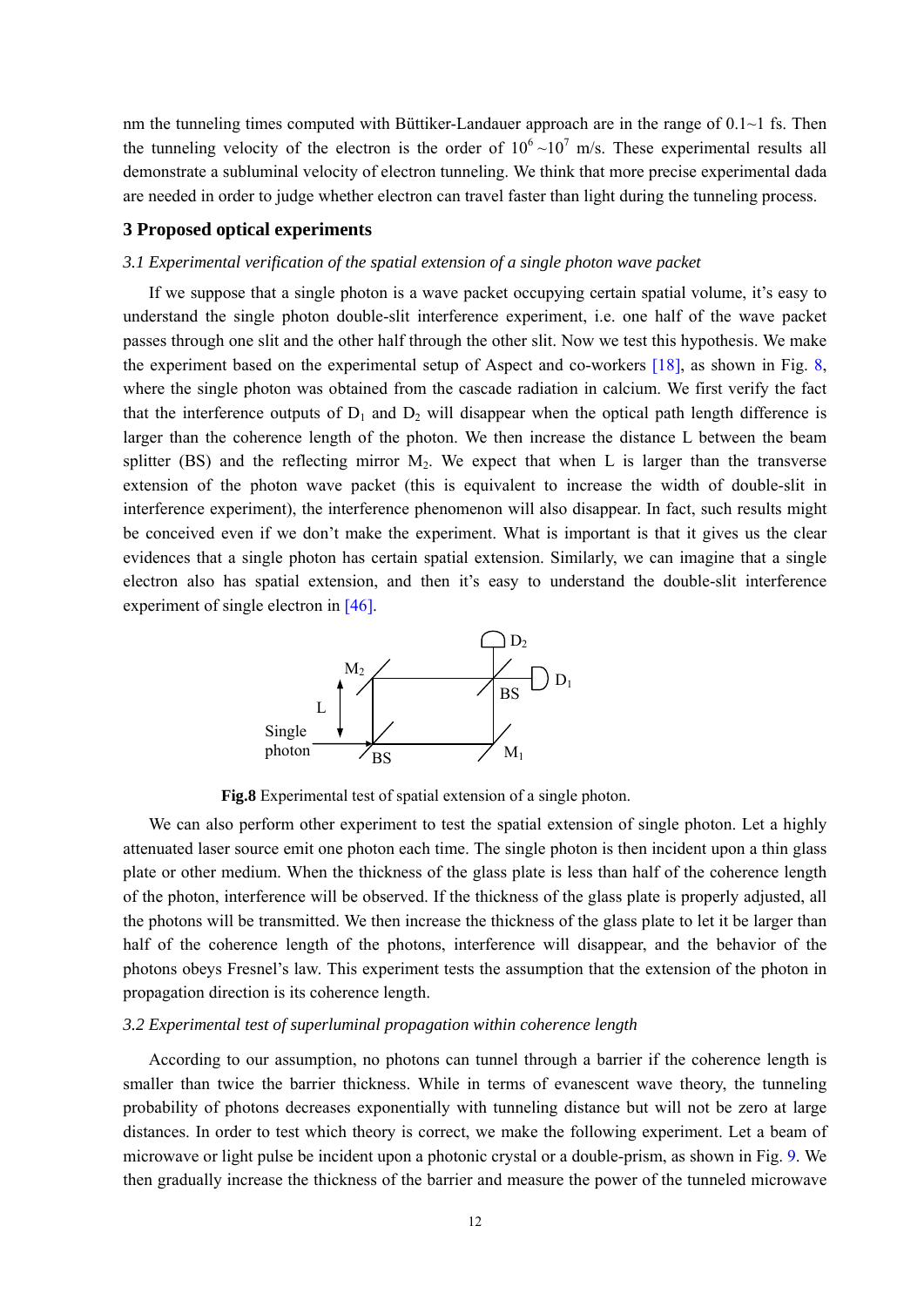nm the tunneling times computed with Büttiker-Landauer approach are in the range of  $0.1~1$  fs. Then the tunneling velocity of the electron is the order of  $10^6 \sim 10^7$  m/s. These experimental results all demonstrate a subluminal velocity of electron tunneling. We think that more precise experimental dada are needed in order to judge whether electron can travel faster than light during the tunneling process.

## **3 Proposed optical experiments**

## *3.1 Experimental verification of the spatial extension of a single photon wave packet*

If we suppose that a single photon is a wave packet occupying certain spatial volume, it's easy to understand the single photon double-slit interference experiment, i.e. one half of the wave packet passes through one slit and the other half through the other slit. Now we test this hypothesis. We make the experiment based on the experimental setup of Aspect and co-workers [18], as shown in Fig. 8, where the single photon was obtained from the cascade radiation in calcium. We first verify the fact that the interference outputs of  $D_1$  and  $D_2$  will disappear when the optical path length difference is larger than the coherence length of the photon. We then increase the distance L between the beam splitter (BS) and the reflecting mirror  $M_2$ . We expect that when L is larger than the transverse extension of the photon wave packet (this is equivalent to increase the width of double-slit in interference experiment), the interference phenomenon will also disappear. In fact, such results might be conceived even if we don't make the experiment. What is important is that it gives us the clear evidences that a single photon has certain spatial extension. Similarly, we can imagine that a single electron also has spatial extension, and then it's easy to understand the double-slit interference experiment of single electron in [46].



**Fig.8** Experimental test of spatial extension of a single photon.

We can also perform other experiment to test the spatial extension of single photon. Let a highly attenuated laser source emit one photon each time. The single photon is then incident upon a thin glass plate or other medium. When the thickness of the glass plate is less than half of the coherence length of the photon, interference will be observed. If the thickness of the glass plate is properly adjusted, all the photons will be transmitted. We then increase the thickness of the glass plate to let it be larger than half of the coherence length of the photons, interference will disappear, and the behavior of the photons obeys Fresnel's law. This experiment tests the assumption that the extension of the photon in propagation direction is its coherence length.

## *3.2 Experimental test of superluminal propagation within coherence length*

According to our assumption, no photons can tunnel through a barrier if the coherence length is smaller than twice the barrier thickness. While in terms of evanescent wave theory, the tunneling probability of photons decreases exponentially with tunneling distance but will not be zero at large distances. In order to test which theory is correct, we make the following experiment. Let a beam of microwave or light pulse be incident upon a photonic crystal or a double-prism, as shown in Fig. 9. We then gradually increase the thickness of the barrier and measure the power of the tunneled microwave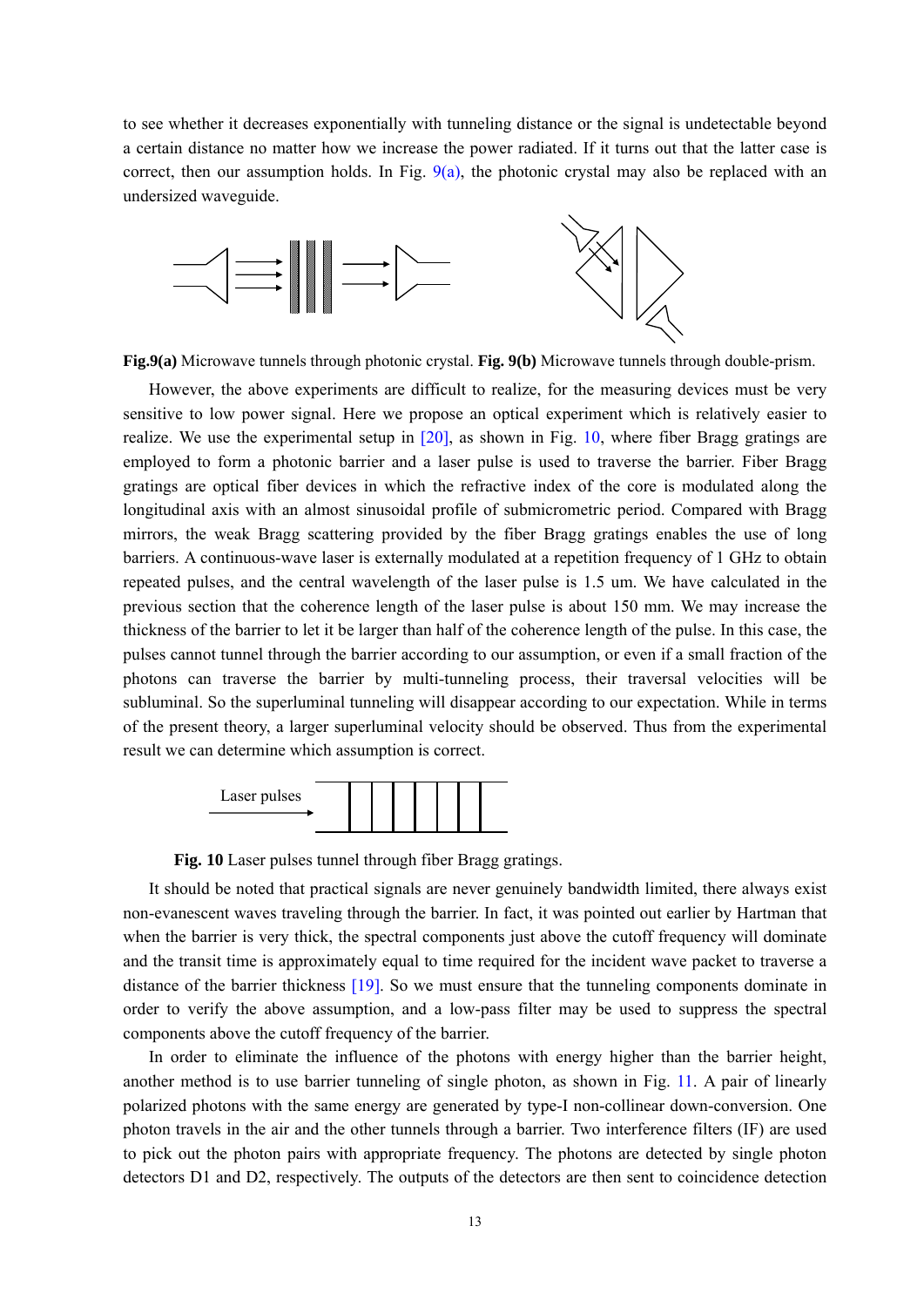to see whether it decreases exponentially with tunneling distance or the signal is undetectable beyond a certain distance no matter how we increase the power radiated. If it turns out that the latter case is correct, then our assumption holds. In Fig.  $9(a)$ , the photonic crystal may also be replaced with an undersized waveguide.



**Fig.9(a)** Microwave tunnels through photonic crystal. **Fig. 9(b)** Microwave tunnels through double-prism.

However, the above experiments are difficult to realize, for the measuring devices must be very sensitive to low power signal. Here we propose an optical experiment which is relatively easier to realize. We use the experimental setup in  $[20]$ , as shown in Fig. 10, where fiber Bragg gratings are employed to form a photonic barrier and a laser pulse is used to traverse the barrier. Fiber Bragg gratings are optical fiber devices in which the refractive index of the core is modulated along the longitudinal axis with an almost sinusoidal profile of submicrometric period. Compared with Bragg mirrors, the weak Bragg scattering provided by the fiber Bragg gratings enables the use of long barriers. A continuous-wave laser is externally modulated at a repetition frequency of 1 GHz to obtain repeated pulses, and the central wavelength of the laser pulse is 1.5 um. We have calculated in the previous section that the coherence length of the laser pulse is about 150 mm. We may increase the thickness of the barrier to let it be larger than half of the coherence length of the pulse. In this case, the pulses cannot tunnel through the barrier according to our assumption, or even if a small fraction of the photons can traverse the barrier by multi-tunneling process, their traversal velocities will be subluminal. So the superluminal tunneling will disappear according to our expectation. While in terms of the present theory, a larger superluminal velocity should be observed. Thus from the experimental result we can determine which assumption is correct.



**Fig. 10** Laser pulses tunnel through fiber Bragg gratings.

It should be noted that practical signals are never genuinely bandwidth limited, there always exist non-evanescent waves traveling through the barrier. In fact, it was pointed out earlier by Hartman that when the barrier is very thick, the spectral components just above the cutoff frequency will dominate and the transit time is approximately equal to time required for the incident wave packet to traverse a distance of the barrier thickness [19]. So we must ensure that the tunneling components dominate in order to verify the above assumption, and a low-pass filter may be used to suppress the spectral components above the cutoff frequency of the barrier.

In order to eliminate the influence of the photons with energy higher than the barrier height, another method is to use barrier tunneling of single photon, as shown in Fig. 11. A pair of linearly polarized photons with the same energy are generated by type-I non-collinear down-conversion. One photon travels in the air and the other tunnels through a barrier. Two interference filters (IF) are used to pick out the photon pairs with appropriate frequency. The photons are detected by single photon detectors D1 and D2, respectively. The outputs of the detectors are then sent to coincidence detection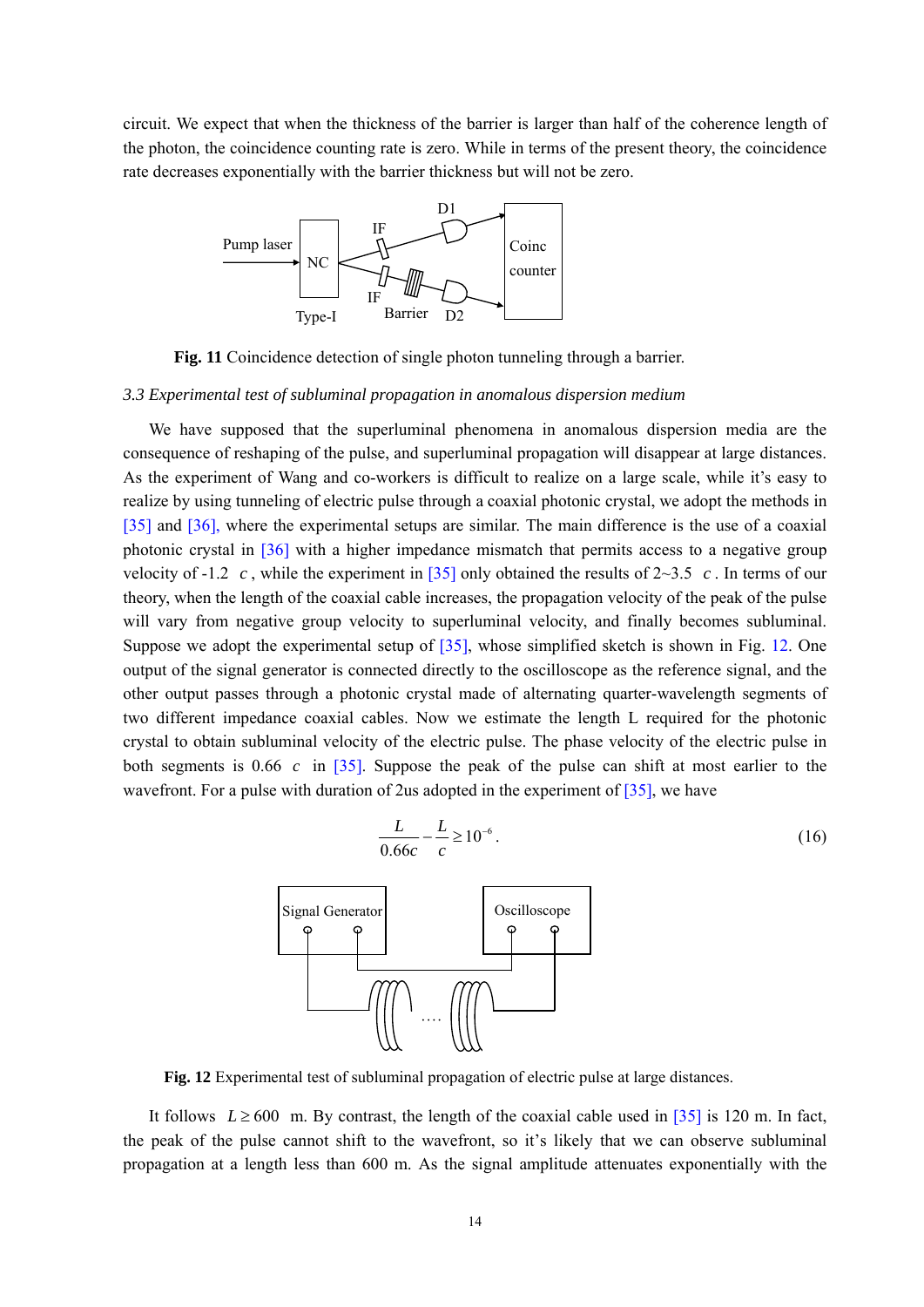circuit. We expect that when the thickness of the barrier is larger than half of the coherence length of the photon, the coincidence counting rate is zero. While in terms of the present theory, the coincidence rate decreases exponentially with the barrier thickness but will not be zero.



**Fig. 11** Coincidence detection of single photon tunneling through a barrier.

#### *3.3 Experimental test of subluminal propagation in anomalous dispersion medium*

We have supposed that the superluminal phenomena in anomalous dispersion media are the consequence of reshaping of the pulse, and superluminal propagation will disappear at large distances. As the experiment of Wang and co-workers is difficult to realize on a large scale, while it's easy to realize by using tunneling of electric pulse through a coaxial photonic crystal, we adopt the methods in [35] and [36], where the experimental setups are similar. The main difference is the use of a coaxial photonic crystal in [36] with a higher impedance mismatch that permits access to a negative group velocity of -1.2 c, while the experiment in  $\overline{35}$  only obtained the results of 2~3.5 c. In terms of our theory, when the length of the coaxial cable increases, the propagation velocity of the peak of the pulse will vary from negative group velocity to superluminal velocity, and finally becomes subluminal. Suppose we adopt the experimental setup of [35], whose simplified sketch is shown in Fig. 12. One output of the signal generator is connected directly to the oscilloscope as the reference signal, and the other output passes through a photonic crystal made of alternating quarter-wavelength segments of two different impedance coaxial cables. Now we estimate the length L required for the photonic crystal to obtain subluminal velocity of the electric pulse. The phase velocity of the electric pulse in both segments is  $0.66$  c in  $\boxed{35}$ . Suppose the peak of the pulse can shift at most earlier to the wavefront. For a pulse with duration of 2us adopted in the experiment of  $[35]$ , we have



**Fig. 12** Experimental test of subluminal propagation of electric pulse at large distances.

It follows  $L \ge 600$  m. By contrast, the length of the coaxial cable used in [35] is 120 m. In fact, the peak of the pulse cannot shift to the wavefront, so it's likely that we can observe subluminal propagation at a length less than 600 m. As the signal amplitude attenuates exponentially with the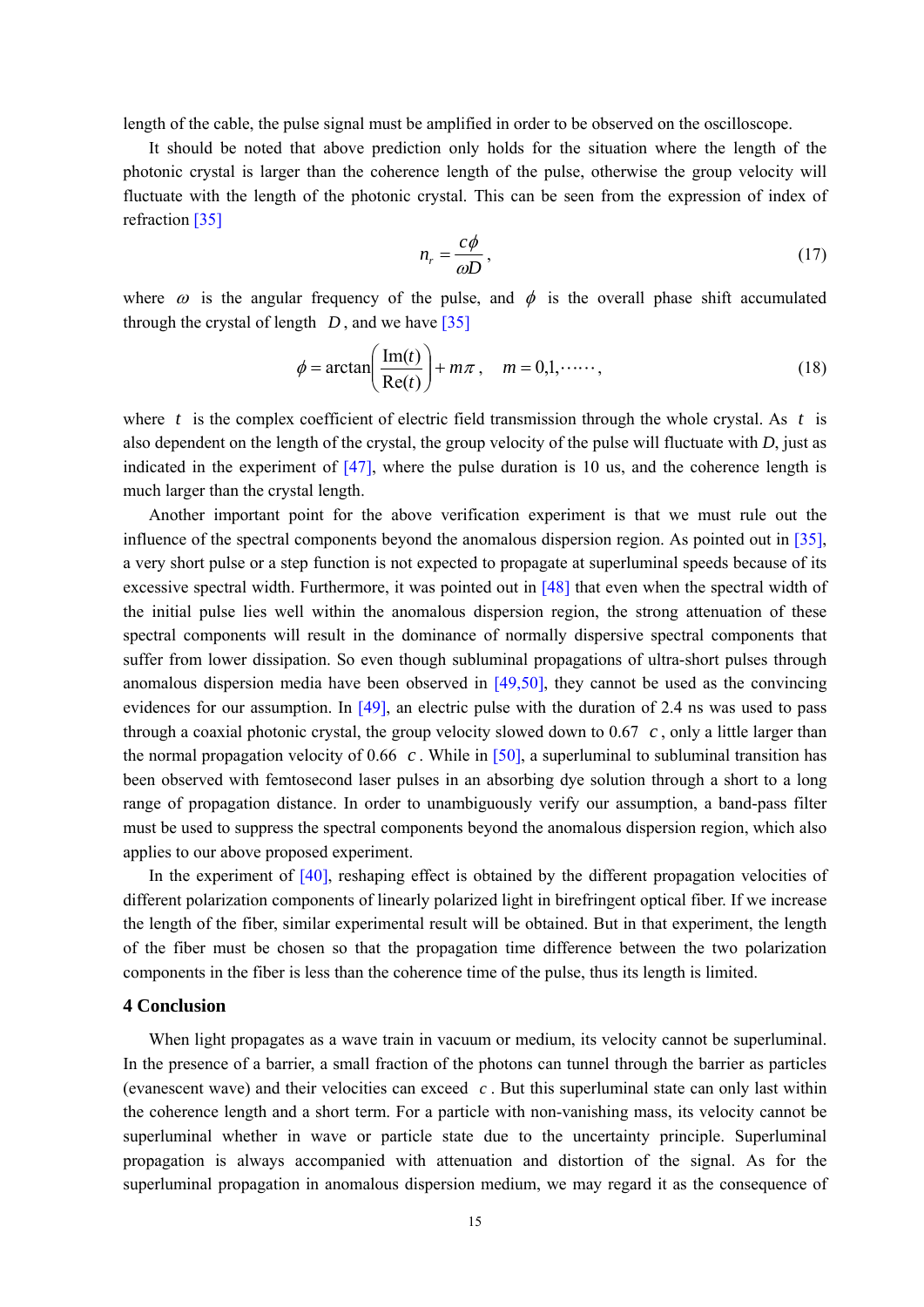length of the cable, the pulse signal must be amplified in order to be observed on the oscilloscope.

It should be noted that above prediction only holds for the situation where the length of the photonic crystal is larger than the coherence length of the pulse, otherwise the group velocity will fluctuate with the length of the photonic crystal. This can be seen from the expression of index of refraction [35]

$$
n_r = \frac{c\phi}{\omega D},\tag{17}
$$

where  $\omega$  is the angular frequency of the pulse, and  $\phi$  is the overall phase shift accumulated through the crystal of length  $D$ , and we have  $\lceil 35 \rceil$ 

$$
\phi = \arctan\left(\frac{\text{Im}(t)}{\text{Re}(t)}\right) + m\pi, \quad m = 0, 1, \dots, \tag{18}
$$

where  $t$  is the complex coefficient of electric field transmission through the whole crystal. As  $t$  is also dependent on the length of the crystal, the group velocity of the pulse will fluctuate with *D*, just as indicated in the experiment of  $[47]$ , where the pulse duration is 10 us, and the coherence length is much larger than the crystal length.

Another important point for the above verification experiment is that we must rule out the influence of the spectral components beyond the anomalous dispersion region. As pointed out in [35], a very short pulse or a step function is not expected to propagate at superluminal speeds because of its excessive spectral width. Furthermore, it was pointed out in [48] that even when the spectral width of the initial pulse lies well within the anomalous dispersion region, the strong attenuation of these spectral components will result in the dominance of normally dispersive spectral components that suffer from lower dissipation. So even though subluminal propagations of ultra-short pulses through anomalous dispersion media have been observed in  $[49,50]$ , they cannot be used as the convincing evidences for our assumption. In  $[49]$ , an electric pulse with the duration of 2.4 ns was used to pass through a coaxial photonic crystal, the group velocity slowed down to  $0.67 \, c$ , only a little larger than the normal propagation velocity of  $0.66$  c. While in  $[50]$ , a superluminal to subluminal transition has been observed with femtosecond laser pulses in an absorbing dye solution through a short to a long range of propagation distance. In order to unambiguously verify our assumption, a band-pass filter must be used to suppress the spectral components beyond the anomalous dispersion region, which also applies to our above proposed experiment.

In the experiment of [40], reshaping effect is obtained by the different propagation velocities of different polarization components of linearly polarized light in birefringent optical fiber. If we increase the length of the fiber, similar experimental result will be obtained. But in that experiment, the length of the fiber must be chosen so that the propagation time difference between the two polarization components in the fiber is less than the coherence time of the pulse, thus its length is limited.

### **4 Conclusion**

When light propagates as a wave train in vacuum or medium, its velocity cannot be superluminal. In the presence of a barrier, a small fraction of the photons can tunnel through the barrier as particles (evanescent wave) and their velocities can exceed  $c$ . But this superluminal state can only last within the coherence length and a short term. For a particle with non-vanishing mass, its velocity cannot be superluminal whether in wave or particle state due to the uncertainty principle. Superluminal propagation is always accompanied with attenuation and distortion of the signal. As for the superluminal propagation in anomalous dispersion medium, we may regard it as the consequence of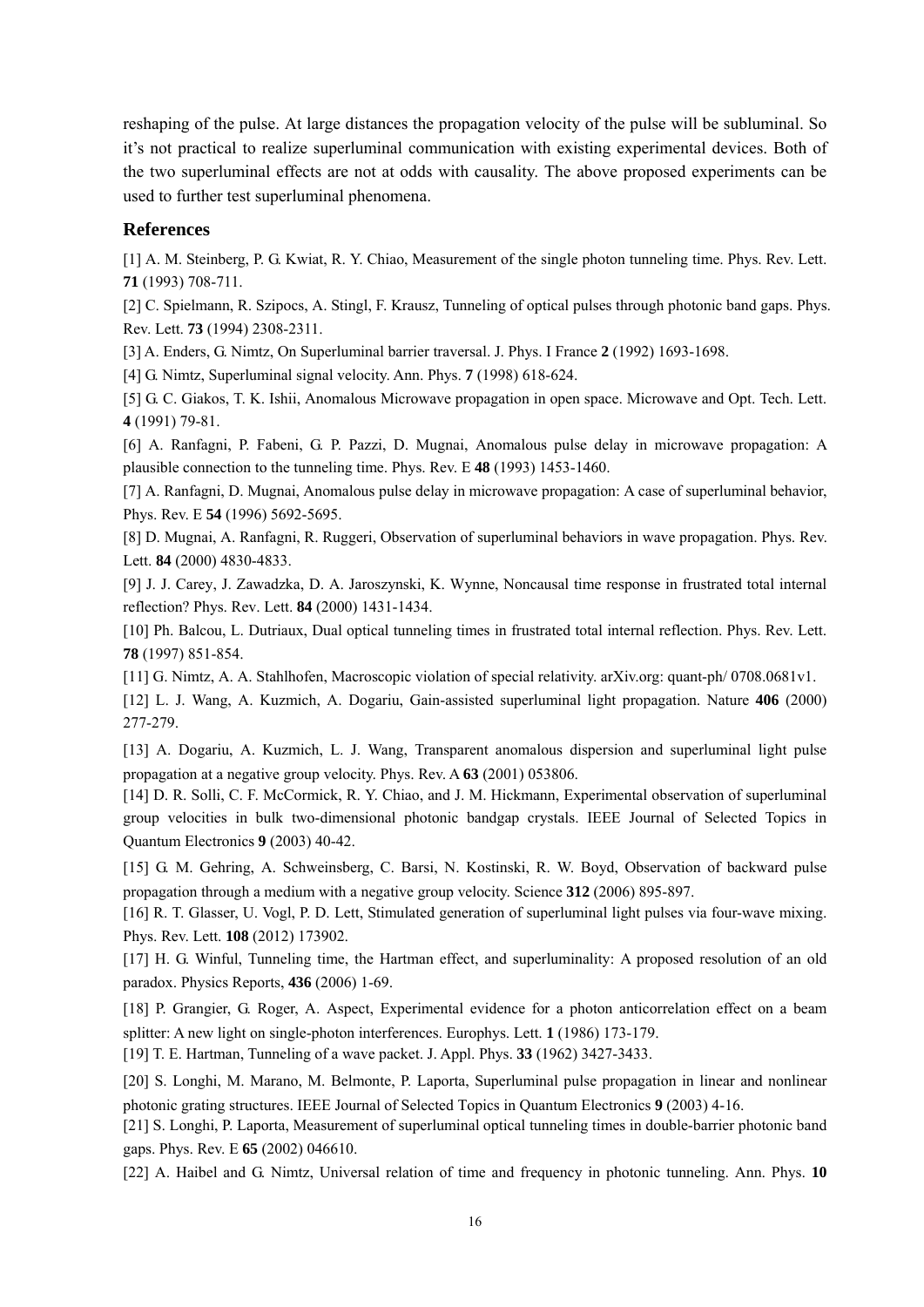reshaping of the pulse. At large distances the propagation velocity of the pulse will be subluminal. So it's not practical to realize superluminal communication with existing experimental devices. Both of the two superluminal effects are not at odds with causality. The above proposed experiments can be used to further test superluminal phenomena.

## **References**

[1] A. M. Steinberg, P. G. Kwiat, R. Y. Chiao, Measurement of the single photon tunneling time. Phys. Rev. Lett. **71** (1993) 708-711.

[2] C. Spielmann, R. Szipocs, A. Stingl, F. Krausz, Tunneling of optical pulses through photonic band gaps. Phys. Rev. Lett. **73** (1994) 2308-2311.

[3] A. Enders, G. Nimtz, On Superluminal barrier traversal. J. Phys. I France **2** (1992) 1693-1698.

[4] G. Nimtz, Superluminal signal velocity. Ann. Phys. **7** (1998) 618-624.

[5] G. C. Giakos, T. K. Ishii, Anomalous Microwave propagation in open space. Microwave and Opt. Tech. Lett. **4** (1991) 79-81.

[6] A. Ranfagni, P. Fabeni, G. P. Pazzi, D. Mugnai, Anomalous pulse delay in microwave propagation: A plausible connection to the tunneling time. Phys. Rev. E **48** (1993) 1453-1460.

[7] A. Ranfagni, D. Mugnai, Anomalous pulse delay in microwave propagation: A case of superluminal behavior, Phys. Rev. E **54** (1996) 5692-5695.

[8] D. Mugnai, A. Ranfagni, R. Ruggeri, Observation of superluminal behaviors in wave propagation. Phys. Rev. Lett. **84** (2000) 4830-4833.

[9] J. J. Carey, J. Zawadzka, D. A. Jaroszynski, K. Wynne, Noncausal time response in frustrated total internal reflection? Phys. Rev. Lett. **84** (2000) 1431-1434.

[10] Ph. Balcou, L. Dutriaux, Dual optical tunneling times in frustrated total internal reflection. Phys. Rev. Lett. **78** (1997) 851-854.

[11] G. Nimtz, A. A. Stahlhofen, Macroscopic violation of special relativity. arXiv.org: quant-ph/ 0708.0681v1.

[12] L. J. Wang, A. Kuzmich, A. Dogariu, Gain-assisted superluminal light propagation. Nature **406** (2000) 277-279.

[13] A. Dogariu, A. Kuzmich, L. J. Wang, Transparent anomalous dispersion and superluminal light pulse propagation at a negative group velocity. Phys. Rev. A **63** (2001) 053806.

[14] D. R. Solli, C. F. McCormick, R. Y. Chiao, and J. M. Hickmann, Experimental observation of superluminal group velocities in bulk two-dimensional photonic bandgap crystals. IEEE Journal of Selected Topics in Quantum Electronics **9** (2003) 40-42.

[15] G. M. Gehring, A. Schweinsberg, C. Barsi, N. Kostinski, R. W. Boyd, Observation of backward pulse propagation through a medium with a negative group velocity. Science **312** (2006) 895-897.

[16] R. T. Glasser, U. Vogl, P. D. Lett, Stimulated generation of superluminal light pulses via four-wave mixing. Phys. Rev. Lett. **108** (2012) 173902.

[17] H. G. Winful, Tunneling time, the Hartman effect, and superluminality: A proposed resolution of an old paradox. Physics Reports, **436** (2006) 1-69.

[18] P. Grangier, G. Roger, A. Aspect, Experimental evidence for a photon anticorrelation effect on a beam splitter: A new light on single-photon interferences. Europhys. Lett. **1** (1986) 173-179.

[19] T. E. Hartman, Tunneling of a wave packet. J. Appl. Phys. **33** (1962) 3427-3433.

[20] S. Longhi, M. Marano, M. Belmonte, P. Laporta, Superluminal pulse propagation in linear and nonlinear photonic grating structures. IEEE Journal of Selected Topics in Quantum Electronics **9** (2003) 4-16.

[21] S. Longhi, P. Laporta, Measurement of superluminal optical tunneling times in double-barrier photonic band gaps. Phys. Rev. E **65** (2002) 046610.

[22] A. Haibel and G. Nimtz, Universal relation of time and frequency in photonic tunneling. Ann. Phys. **10**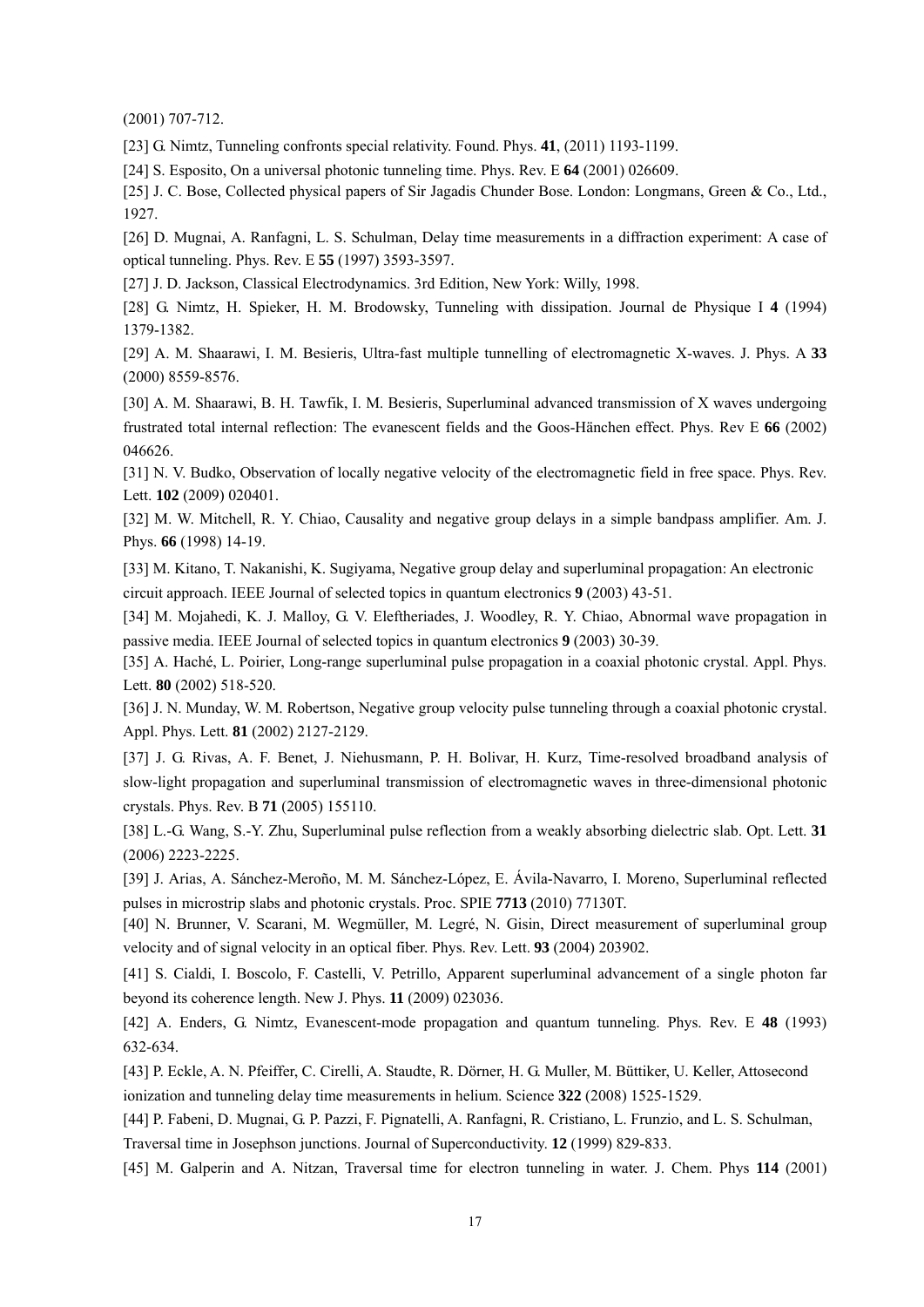(2001) 707-712.

[23] G. Nimtz, Tunneling confronts special relativity. Found. Phys. **41**, (2011) 1193-1199.

[24] S. Esposito, On a universal photonic tunneling time. Phys. Rev. E **64** (2001) 026609.

[25] J. C. Bose, Collected physical papers of Sir Jagadis Chunder Bose. London: Longmans, Green & Co., Ltd., 1927.

[26] D. Mugnai, A. Ranfagni, L. S. Schulman, Delay time measurements in a diffraction experiment: A case of optical tunneling. Phys. Rev. E **55** (1997) 3593-3597.

[27] J. D. Jackson, Classical Electrodynamics. 3rd Edition, New York: Willy, 1998.

[28] G. Nimtz, H. Spieker, H. M. Brodowsky, Tunneling with dissipation. Journal de Physique I **4** (1994) 1379-1382.

[29] A. M. Shaarawi, I. M. Besieris, Ultra-fast multiple tunnelling of electromagnetic X-waves. J. Phys. A **33** (2000) 8559-8576.

[30] A. M. Shaarawi, B. H. Tawfik, I. M. Besieris, Superluminal advanced transmission of X waves undergoing frustrated total internal reflection: The evanescent fields and the Goos-Hänchen effect. Phys. Rev E **66** (2002) 046626.

[31] N. V. Budko, Observation of locally negative velocity of the electromagnetic field in free space. Phys. Rev. Lett. **102** (2009) 020401.

[32] M. W. Mitchell, R. Y. Chiao, Causality and negative group delays in a simple bandpass amplifier. Am. J. Phys. **66** (1998) 14-19.

[33] M. Kitano, T. Nakanishi, K. Sugiyama, Negative group delay and superluminal propagation: An electronic circuit approach. IEEE Journal of selected topics in quantum electronics **9** (2003) 43-51.

[34] M. Mojahedi, K. J. Malloy, G. V. Eleftheriades, J. Woodley, R. Y. Chiao, Abnormal wave propagation in passive media. IEEE Journal of selected topics in quantum electronics **9** (2003) 30-39.

[35] A. Haché, L. Poirier, Long-range superluminal pulse propagation in a coaxial photonic crystal. Appl. Phys. Lett. **80** (2002) 518-520.

[36] J. N. Munday, W. M. Robertson, Negative group velocity pulse tunneling through a coaxial photonic crystal. Appl. Phys. Lett. **81** (2002) 2127-2129.

[37] J. G. Rivas, A. F. Benet, J. Niehusmann, P. H. Bolivar, H. Kurz, Time-resolved broadband analysis of slow-light propagation and superluminal transmission of electromagnetic waves in three-dimensional photonic crystals. Phys. Rev. B **71** (2005) 155110.

[38] L.-G. Wang, S.-Y. Zhu, Superluminal pulse reflection from a weakly absorbing dielectric slab. Opt. Lett. **31** (2006) 2223-2225.

[39] J. Arias, A. Sánchez-Meroño, M. M. Sánchez-López, E. Ávila-Navarro, I. Moreno, Superluminal reflected pulses in microstrip slabs and photonic crystals. Proc. SPIE **7713** (2010) 77130T.

[40] N. Brunner, V. Scarani, M. Wegmüller, M. Legré, N. Gisin, Direct measurement of superluminal group velocity and of signal velocity in an optical fiber. Phys. Rev. Lett. **93** (2004) 203902.

[41] S. Cialdi, I. Boscolo, F. Castelli, V. Petrillo, Apparent superluminal advancement of a single photon far beyond its coherence length. New J. Phys. **11** (2009) 023036.

[42] A. Enders, G. Nimtz, Evanescent-mode propagation and quantum tunneling. Phys. Rev. E **48** (1993) 632-634.

[43] P. Eckle, A. N. Pfeiffer, C. Cirelli, A. Staudte, R. Dörner, H. G. Muller, M. Büttiker, U. Keller, Attosecond ionization and tunneling delay time measurements in helium. Science **322** (2008) 1525-1529.

[44] P. Fabeni, D. Mugnai, G. P. Pazzi, F. Pignatelli, A. Ranfagni, R. Cristiano, L. Frunzio, and L. S. Schulman, Traversal time in Josephson junctions. Journal of Superconductivity. **12** (1999) 829-833.

[45] M. Galperin and A. Nitzan, Traversal time for electron tunneling in water. J. Chem. Phys **114** (2001)